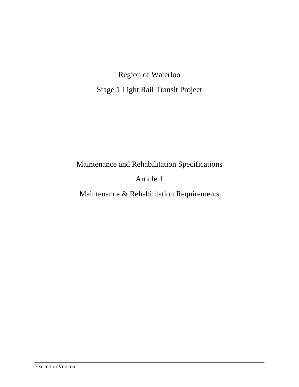Region of Waterloo Stage 1 Light Rail Transit Project

Maintenance and Rehabilitation Specifications

# Article 1

Maintenance & Rehabilitation Requirements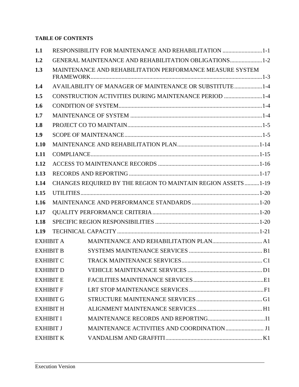## **TABLE OF CONTENTS**

| 1.1              | RESPONSIBILITY FOR MAINTENANCE AND REHABILITATION 1-1         |  |
|------------------|---------------------------------------------------------------|--|
| 1.2              | GENERAL MAINTENANCE AND REHABILITATION OBLIGATIONS1-2         |  |
| 1.3              | MAINTENANCE AND REHABILITATION PERFORMANCE MEASURE SYSTEM     |  |
| 1.4              | AVAILABILITY OF MANAGER OF MAINTENANCE OR SUBSTITUTE1-4       |  |
| 1.5              | CONSTRUCTION ACTIVITIES DURING MAINTENANCE PERIOD 1-4         |  |
| 1.6              |                                                               |  |
| 1.7              |                                                               |  |
| 1.8              |                                                               |  |
| 1.9              |                                                               |  |
| 1.10             |                                                               |  |
| 1.11             |                                                               |  |
| 1.12             |                                                               |  |
| 1.13             |                                                               |  |
| 1.14             | CHANGES REQUIRED BY THE REGION TO MAINTAIN REGION ASSETS 1-19 |  |
| 1.15             |                                                               |  |
| 1.16             |                                                               |  |
| 1.17             |                                                               |  |
| 1.18             |                                                               |  |
| 1.19             |                                                               |  |
| <b>EXHIBIT A</b> |                                                               |  |
| <b>EXHIBIT B</b> |                                                               |  |
| <b>EXHIBIT C</b> |                                                               |  |
| <b>EXHIBIT D</b> |                                                               |  |
| <b>EXHIBIT E</b> |                                                               |  |
| <b>EXHIBIT F</b> |                                                               |  |
| <b>EXHIBIT G</b> |                                                               |  |
| <b>EXHIBIT H</b> |                                                               |  |
| <b>EXHIBIT I</b> |                                                               |  |
| <b>EXHIBIT J</b> |                                                               |  |
| <b>EXHIBIT K</b> |                                                               |  |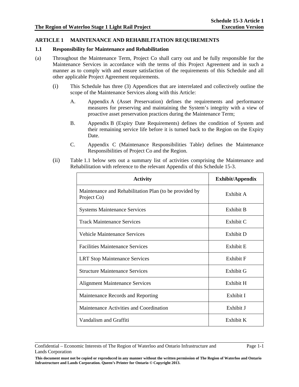### **ARTICLE 1 MAINTENANCE AND REHABILITATION REQUIREMENTS**

#### **1.1 Responsibility for Maintenance and Rehabilitation**

- (a) Throughout the Maintenance Term, Project Co shall carry out and be fully responsible for the Maintenance Services in accordance with the terms of this Project Agreement and in such a manner as to comply with and ensure satisfaction of the requirements of this Schedule and all other applicable Project Agreement requirements.
	- (i) This Schedule has three (3) Appendices that are interrelated and collectively outline the scope of the Maintenance Services along with this Article:
		- A. Appendix A (Asset Preservation) defines the requirements and performance measures for preserving and maintaining the System's integrity with a view of proactive asset preservation practices during the Maintenance Term;
		- B. Appendix B (Expiry Date Requirements) defines the condition of System and their remaining service life before it is turned back to the Region on the Expiry Date.
		- C. Appendix C (Maintenance Responsibilities Table) defines the Maintenance Responsibilities of Project Co and the Region.
	- (ii) Table 1.1 below sets out a summary list of activities comprising the Maintenance and Rehabilitation with reference to the relevant Appendix of this Schedule 15-3.

| <b>Activity</b>                                                       | Exhibit/Appendix |
|-----------------------------------------------------------------------|------------------|
| Maintenance and Rehabilitation Plan (to be provided by<br>Project Co) | Exhibit A        |
| <b>Systems Maintenance Services</b>                                   | Exhibit B        |
| <b>Track Maintenance Services</b>                                     | Exhibit C        |
| Vehicle Maintenance Services                                          | Exhibit D        |
| <b>Facilities Maintenance Services</b>                                | Exhibit E        |
| <b>LRT Stop Maintenance Services</b>                                  | Exhibit F        |
| <b>Structure Maintenance Services</b>                                 | Exhibit G        |
| <b>Alignment Maintenance Services</b>                                 | Exhibit H        |
| Maintenance Records and Reporting                                     | Exhibit I        |
| Maintenance Activities and Coordination                               | Exhibit J        |
| Vandalism and Graffiti                                                | Exhibit K        |

Confidential – Economic Interests of The Region of Waterloo and Ontario Infrastructure and Lands Corporation

**This document must not be copied or reproduced in any manner without the written permission of The Region of Waterloo and Ontario Infrastructure and Lands Corporation. Queen's Printer for Ontario © Copyright 2013.**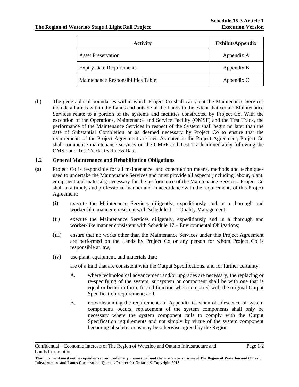| <b>Activity</b>                    | Exhibit/Appendix |  |
|------------------------------------|------------------|--|
| <b>Asset Preservation</b>          | Appendix A       |  |
| <b>Expiry Date Requirements</b>    | Appendix B       |  |
| Maintenance Responsibilities Table | Appendix C       |  |

(b) The geographical boundaries within which Project Co shall carry out the Maintenance Services include all areas within the Lands and outside of the Lands to the extent that certain Maintenance Services relate to a portion of the systems and facilities constructed by Project Co. With the exception of the Operations, Maintenance and Service Facility (OMSF) and the Test Track, the performance of the Maintenance Services in respect of the System shall begin no later than the date of Substantial Completion or as deemed necessary by Project Co to ensure that the requirements of the Project Agreement are met. As noted in the Project Agreement, Project Co shall commence maintenance services on the OMSF and Test Track immediately following the OMSF and Test Track Readiness Date.

#### **1.2 General Maintenance and Rehabilitation Obligations**

- (a) Project Co is responsible for all maintenance, and construction means, methods and techniques used to undertake the Maintenance Services and must provide all aspects (including labour, plant, equipment and materials) necessary for the performance of the Maintenance Services. Project Co shall in a timely and professional manner and in accordance with the requirements of this Project Agreement:
	- (i) execute the Maintenance Services diligently, expeditiously and in a thorough and worker-like manner consistent with Schedule 11 – Quality Management;
	- (ii) execute the Maintenance Services diligently, expeditiously and in a thorough and worker-like manner consistent with Schedule 17 – Environmental Obligations;
	- (iii) ensure that no works other than the Maintenance Services under this Project Agreement are performed on the Lands by Project Co or any person for whom Project Co is responsible at law;
	- (iv) use plant, equipment, and materials that:

are of a kind that are consistent with the Output Specifications, and for further certainty:

- A. where technological advancement and/or upgrades are necessary, the replacing or re-specifying of the system, subsystem or component shall be with one that is equal or better in form, fit and function when compared with the original Output Specification requirement; and
- B. notwithstanding the requirements of Appendix C, when obsolescence of system components occurs, replacement of the system components shall only be necessary where the system component fails to comply with the Output Specification requirements and not simply by virtue of the system component becoming obsolete, or as may be otherwise agreed by the Region.

Confidential – Economic Interests of The Region of Waterloo and Ontario Infrastructure and Lands Corporation

**This document must not be copied or reproduced in any manner without the written permission of The Region of Waterloo and Ontario Infrastructure and Lands Corporation. Queen's Printer for Ontario © Copyright 2013.**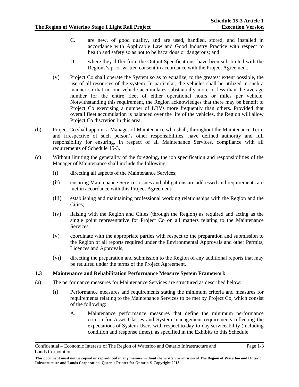- C. are new, of good quality, and are used, handled, stored, and installed in accordance with Applicable Law and Good Industry Practice with respect to health and safety so as not to be hazardous or dangerous; and
- D. where they differ from the Output Specifications, have been substituted with the Regions's prior written consent in accordance with the Project Agreement.
- (v) Project Co shall operate the System so as to equalize, to the greatest extent possible, the use of all resources of the system. In particular, the vehicles shall be utilized in such a manner so that no one vehicle accumulates substantially more or less than the average number for the entire fleet of either operational hours or miles per vehicle. Notwithstanding this requirement, the Region acknowledges that there may be benefit to Project Co exercising a number of LRVs more frequently than others. Provided that overall fleet accumulation is balanced over the life of the vehicles, the Region will allow Project Co discretion in this area.
- (b) Project Co shall appoint a Manager of Maintenance who shall, throughout the Maintenance Term and irrespective of such person's other responsibilities, have defined authority and full responsibility for ensuring, in respect of all Maintenance Services, compliance with all requirements of Schedule 15-3.
- (c) Without limiting the generality of the foregoing, the job specification and responsibilities of the Manager of Maintenance shall include the following:
	- (i) directing all aspects of the Maintenance Services;
	- (ii) ensuring Maintenance Services issues and obligations are addressed and requirements are met in accordance with this Project Agreement;
	- (iii) establishing and maintaining professional working relationships with the Region and the Cities;
	- (iv) liaising with the Region and Cities (through the Region) as required and acting as the single point representative for Project Co on all matters relating to the Maintenance Services;
	- (v) coordinate with the appropriate parties with respect to the preparation and submission to the Region of all reports required under the Environmental Approvals and other Permits, Licences and Approvals;
	- (vi) directing the preparation and submission to the Region of any additional reports that may be required under the terms of the Project Agreement.

#### **1.3 Maintenance and Rehabilitation Performance Measure System Framework**

- (a) The performance measures for Maintenance Services are structured as described below:
	- (i) Performance measures and requirements stating the minimum criteria and measures for requirements relating to the Maintenance Services to be met by Project Co, which consist of the following:
		- A. Maintenance performance measures that define the minimum performance criteria for Asset Classes and System management requirements reflecting the expectations of System Users with respect to day-to-day serviceability (including condition and response times), as specified in the Exhibits to this Schedule.

Confidential – Economic Interests of The Region of Waterloo and Ontario Infrastructure and Lands Corporation

**This document must not be copied or reproduced in any manner without the written permission of The Region of Waterloo and Ontario Infrastructure and Lands Corporation. Queen's Printer for Ontario © Copyright 2013.**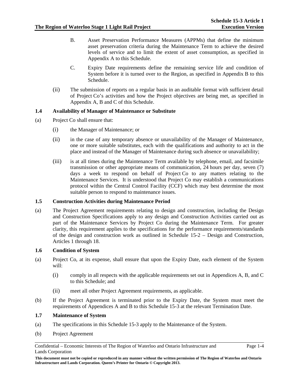- B. Asset Preservation Performance Measures (APPMs) that define the minimum asset preservation criteria during the Maintenance Term to achieve the desired levels of service and to limit the extent of asset consumption, as specified in Appendix A to this Schedule.
- C. Expiry Date requirements define the remaining service life and condition of System before it is turned over to the Region, as specified in Appendix B to this Schedule.
- (ii) The submission of reports on a regular basis in an auditable format with sufficient detail of Project Co's activities and how the Project objectives are being met, as specified in Appendix A, B and C of this Schedule.

#### **1.4 Availability of Manager of Maintenance or Substitute**

- (a) Project Co shall ensure that:
	- (i) the Manager of Maintenance; or
	- (ii) in the case of any temporary absence or unavailability of the Manager of Maintenance, one or more suitable substitutes, each with the qualifications and authority to act in the place and instead of the Manager of Maintenance during such absence or unavailability;
	- (iii) is at all times during the Maintenance Term available by telephone, email, and facsimile transmission or other appropriate means of communication, 24 hours per day, seven (7) days a week to respond on behalf of Project Co to any matters relating to the Maintenance Services. It is understood that Project Co may establish a communications protocol within the Central Control Facility (CCF) which may best determine the most suitable person to respond to maintenance issues.

### **1.5 Construction Activities during Maintenance Period**

(a) The Project Agreement requirements relating to design and construction, including the Design and Construction Specifications apply to any design and Construction Activities carried out as part of the Maintenance Services by Project Co during the Maintenance Term. For greater clarity, this requirement applies to the specifications for the performance requirements/standards of the design and construction work as outlined in Schedule 15-2 – Design and Construction, Articles 1 through 18.

#### **1.6 Condition of System**

- (a) Project Co, at its expense, shall ensure that upon the Expiry Date, each element of the System will:
	- (i) comply in all respects with the applicable requirements set out in Appendices A, B, and C to this Schedule; and
	- (ii) meet all other Project Agreement requirements, as applicable.
- (b) If the Project Agreement is terminated prior to the Expiry Date, the System must meet the requirements of Appendices A and B to this Schedule 15-3 at the relevant Termination Date.

#### **1.7 Maintenance of System**

- (a) The specifications in this Schedule 15-3 apply to the Maintenance of the System.
- (b) Project Agreement

Confidential – Economic Interests of The Region of Waterloo and Ontario Infrastructure and Lands Corporation

**This document must not be copied or reproduced in any manner without the written permission of The Region of Waterloo and Ontario Infrastructure and Lands Corporation. Queen's Printer for Ontario © Copyright 2013.**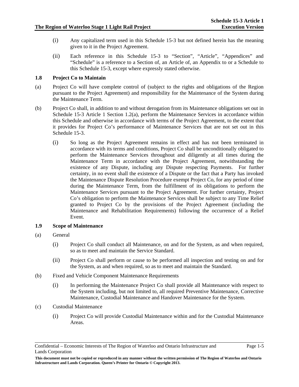- (i) Any capitalized term used in this Schedule 15-3 but not defined herein has the meaning given to it in the Project Agreement.
- (ii) Each reference in this Schedule 15-3 to "Section", "Article", "Appendices" and "Schedule" is a reference to a Section of, an Article of, an Appendix to or a Schedule to this Schedule 15-3, except where expressly stated otherwise.

### **1.8 Project Co to Maintain**

- (a) Project Co will have complete control of (subject to the rights and obligations of the Region pursuant to the Project Agreement) and responsibility for the Maintenance of the System during the Maintenance Term.
- (b) Project Co shall, in addition to and without derogation from its Maintenance obligations set out in Schedule 15-3 Article 1 Section 1.2(a), perform the Maintenance Services in accordance within this Schedule and otherwise in accordance with terms of the Project Agreement, to the extent that it provides for Project Co's performance of Maintenance Services that are not set out in this Schedule 15-3.
	- (i) So long as the Project Agreement remains in effect and has not been terminated in accordance with its terms and conditions, Project Co shall be unconditionally obligated to perform the Maintenance Services throughout and diligently at all times during the Maintenance Term in accordance with the Project Agreement, notwithstanding the existence of any Dispute, including any Dispute respecting Payments. For further certainty, in no event shall the existence of a Dispute or the fact that a Party has invoked the Maintenance Dispute Resolution Procedure exempt Project Co, for any period of time during the Maintenance Term, from the fulfillment of its obligations to perform the Maintenance Services pursuant to the Project Agreement. For further certainty, Project Co's obligation to perform the Maintenance Services shall be subject to any Time Relief granted to Project Co by the provisions of the Project Agreement (including the Maintenance and Rehabilitation Requirements) following the occurrence of a Relief Event.

#### **1.9 Scope of Maintenance**

- (a) General
	- (i) Project Co shall conduct all Maintenance, on and for the System, as and when required, so as to meet and maintain the Service Standard.
	- (ii) Project Co shall perform or cause to be performed all inspection and testing on and for the System, as and when required, so as to meet and maintain the Standard.
- (b) Fixed and Vehicle Component Maintenance Requirements
	- (i) In performing the Maintenance Project Co shall provide all Maintenance with respect to the System including, but not limited to, all required Preventive Maintenance, Corrective Maintenance, Custodial Maintenance and Handover Maintenance for the System.
- (c) Custodial Maintenance
	- (i) Project Co will provide Custodial Maintenance within and for the Custodial Maintenance Areas.

Confidential – Economic Interests of The Region of Waterloo and Ontario Infrastructure and Lands Corporation

**This document must not be copied or reproduced in any manner without the written permission of The Region of Waterloo and Ontario Infrastructure and Lands Corporation. Queen's Printer for Ontario © Copyright 2013.**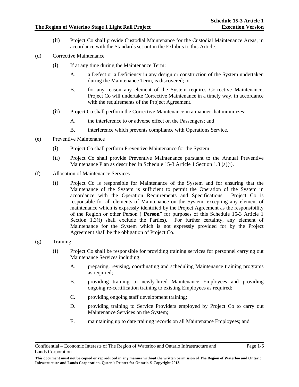- (ii) Project Co shall provide Custodial Maintenance for the Custodial Maintenance Areas, in accordance with the Standards set out in the Exhibits to this Article.
- (d) Corrective Maintenance
	- (i) If at any time during the Maintenance Term:
		- A. a Defect or a Deficiency in any design or construction of the System undertaken during the Maintenance Term, is discovered; or
		- B. for any reason any element of the System requires Corrective Maintenance, Project Co will undertake Corrective Maintenance in a timely way, in accordance with the requirements of the Project Agreement.
	- (ii) Project Co shall perform the Corrective Maintenance in a manner that minimizes:
		- A. the interference to or adverse effect on the Passengers; and
		- B. interference which prevents compliance with Operations Service.
- (e) Preventive Maintenance
	- (i) Project Co shall perform Preventive Maintenance for the System.
	- (ii) Project Co shall provide Preventive Maintenance pursuant to the Annual Preventive Maintenance Plan as described in Schedule 15-3 Article 1 Section 1.3 (a)(i).
- (f) Allocation of Maintenance Services
	- (i) Project Co is responsible for Maintenance of the System and for ensuring that the Maintenance of the System is sufficient to permit the Operation of the System in accordance with the Operation Requirements and Specifications. Project Co is responsible for all elements of Maintenance on the System, excepting any element of maintenance which is expressly identified by the Project Agreement as the responsibility of the Region or other Person ("**Person**" for purposes of this Schedule 15-3 Article 1 Section 1.3(f) shall exclude the Parties). For further certainty, any element of Maintenance for the System which is not expressly provided for by the Project Agreement shall be the obligation of Project Co.
- (g) Training
	- (i) Project Co shall be responsible for providing training services for personnel carrying out Maintenance Services including:
		- A. preparing, revising, coordinating and scheduling Maintenance training programs as required;
		- B. providing training to newly-hired Maintenance Employees and providing ongoing re-certification training to existing Employees as required;
		- C. providing ongoing staff development training;
		- D. providing training to Service Providers employed by Project Co to carry out Maintenance Services on the System;
		- E. maintaining up to date training records on all Maintenance Employees; and

Confidential – Economic Interests of The Region of Waterloo and Ontario Infrastructure and Lands Corporation

**This document must not be copied or reproduced in any manner without the written permission of The Region of Waterloo and Ontario Infrastructure and Lands Corporation. Queen's Printer for Ontario © Copyright 2013.**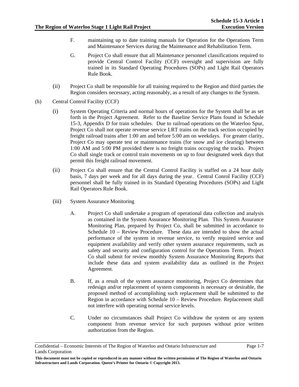- F. maintaining up to date training manuals for Operation for the Operations Term and Maintenance Services during the Maintenance and Rehabilitation Term.
- G. Project Co shall ensure that all Maintenance personnel classifications required to provide Central Control Facility (CCF) oversight and supervision are fully trained in its Standard Operating Procedures (SOPs) and Light Rail Operators Rule Book.
- (ii) Project Co shall be responsible for all training required to the Region and third parties the Region considers necessary, acting reasonably, as a result of any changes to the System.
- (h) Central Control Facility (CCF)
	- (i) System Operating Criteria and normal hours of operations for the System shall be as set forth in the Project Agreement. Refer to the Baseline Service Plans found in Schedule 15-3, Appendix D for train schedules. Due to railroad operations on the Waterloo Spur, Project Co shall not operate revenue service LRT trains on the track section occupied by freight railroad trains after 1:00 am and before 5:00 am on weekdays. For greater clarity, Project Co may operate test or maintenance trains (for snow and ice clearing) between 1:00 AM and 5:00 PM provided there is no freight trains occupying the tracks. Project Co shall single track or control train movements on up to four designated week days that permit this freight railroad movement.
	- (ii) Project Co shall ensure that the Central Control Facility is staffed on a 24 hour daily basis, 7 days per week and for all days during the year. Central Conrol Facility (CCF) personnel shall be fully trained in its Standard Operating Procedures (SOPs) and Light Rail Operators Rule Book.
	- (iii) System Assurance Monitoring
		- A. Project Co shall undertake a program of operational data collection and analysis as contained in the System Assurance Monitoring Plan. This System Assurance Monitoring Plan, prepared by Project Co, shall be submitted in accordance to Schedule 10 – Review Procedure. These data are intended to show the actual performance of the system in revenue service, to verify required service and equipment availability and verify other system assurance requirements, such as safety and security and configuration control for the Operations Term. Project Co shall submit for review monthly System Assurance Monitoring Reports that include these data and system availability data as outlined in the Project Agreement.
		- B. If, as a result of the system assurance monitoring, Project Co determines that redesign and/or replacement of system components is necessary or desirable, the proposed method of accomplishing such replacement shall be submitted to the Region in accordance with Schedule 10 – Review Procedure. Replacement shall not interfere with operating normal service levels.
		- C. Under no circumstances shall Project Co withdraw the system or any system component from revenue service for such purposes without prior written authorization from the Region.

Confidential – Economic Interests of The Region of Waterloo and Ontario Infrastructure and Lands Corporation

**This document must not be copied or reproduced in any manner without the written permission of The Region of Waterloo and Ontario Infrastructure and Lands Corporation. Queen's Printer for Ontario © Copyright 2013.**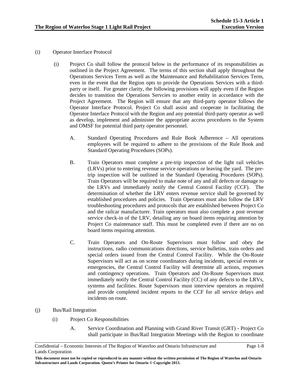- (i) Operator Interface Protocol
	- (i) Project Co shall follow the protocol below in the performance of its responsibilities as outlined in the Project Agreement. The terms of this section shall apply throughout the Operations Services Term as well as the Maintenance and Rehabilitation Services Term, even in the event that the Region opts to provide the Operations Services with a thirdparty or itself. For greater clarity, the following provisions will apply even if the Region decides to transition the Operations Servcies to another entity in accordance with the Project Agreement. The Region will ensure that any third-party operator follows the Operator Interface Protocol. Project Co shall assist and cooperate in facilitating the Operator Interface Protocol with the Region and any potential third-party operator as well as develop, implement and administer the appropriate access procedures to the System and OMSF for potential third party operator personnel.
		- A. Standard Operating Procedures and Rule Book Adherence All operations employees will be required to adhere to the provisions of the Rule Book and Standard Operating Procedures (SOPs).
		- B. Train Operators must complete a pre-trip inspection of the light rail vehicles (LRVs) prior to entering revenue service operations or leaving the yard. The pretrip inspection will be outlined in the Standard Operating Procedures (SOPs). Train Operators will be required to make note of any and all defects or damage to the LRVs and immediately notify the Central Control Facility (CCF). The determination of whether the LRV enters revenue service shall be governed by established procedures and policies. Train Operators must also follow the LRV troubleshooting procedures and protocols that are established between Project Co and the railcar manufacturer. Train operators must also complete a post revenue service check-in of the LRV, detailing any on board items requiring attention by Project Co maintenance staff. This must be completed even if there are no on board items requiring attention.
		- C. Train Operators and On-Route Supervisors must follow and obey the instructions, radio communications directions, service bulletins, train orders and special orders issued from the Central Control Facility. While the On-Route Supervisors will act as on scene coordinators during incidents, special events or emergencies, the Central Control Facility will determine all actions, responses and contingency operations. Train Operators and On-Route Supervisors must immediately notify the Central Control Facility (CC) of any defects to the LRVs, systems and facilities. Route Supervisors must interview operators as required and provide completed incident reports to the CCF for all service delays and incidents on route.
- (j) Bus/Rail Integration
	- (i) Project Co Responsibilities
		- A. Service Coordination and Planning with Grand River Transit (GRT) Project Co shall participate in Bus/Rail Integration Meetings with the Region to coordinate

Confidential – Economic Interests of The Region of Waterloo and Ontario Infrastructure and Lands Corporation

**This document must not be copied or reproduced in any manner without the written permission of The Region of Waterloo and Ontario Infrastructure and Lands Corporation. Queen's Printer for Ontario © Copyright 2013.**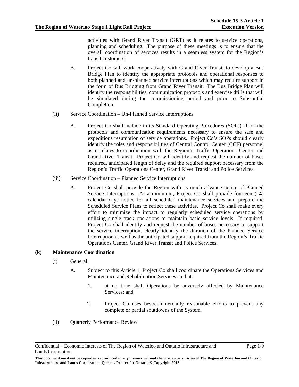activities with Grand River Transit (GRT) as it relates to service operations, planning and scheduling. The purpose of these meetings is to ensure that the overall coordination of services results in a seamless system for the Region's transit customers.

- B. Project Co will work cooperatively with Grand River Transit to develop a Bus Bridge Plan to identify the appropriate protocols and operational responses to both planned and un-planned service interruptions which may require support in the form of Bus Bridging from Grand River Transit. The Bus Bridge Plan will identify the responsibilities, communication protocols and exercise drills that will be simulated during the commissioning period and prior to Substantial Completion.
- (ii) Service Coordination Un-Planned Service Interruptions
	- A. Project Co shall include in its Standard Operating Procedures (SOPs) all of the protocols and communication requirements necessary to ensure the safe and expeditious resumption of service operations. Project Co's SOPs should clearly identify the roles and responsibilities of Central Control Center (CCF) personnel as it relates to coordination with the Region's Traffic Operations Center and Grand River Transit. Project Co will identify and request the number of buses required, anticipated length of delay and the required support necessary from the Region's Traffic Operations Center, Grand River Transit and Police Services.
- (iii) Service Coordination Planned Service Interruptions
	- A. Project Co shall provide the Region with as much advance notice of Planned Service Interruptions. At a minimum, Project Co shall provide fourteen (14) calendar days notice for all scheduled maintenance services and prepare the Scheduled Service Plans to reflect these activities. Project Co shall make every effort to minimize the impact to regularly scheduled service operations by utilizing single track operations to maintain basic service levels. If required, Project Co shall identify and request the number of buses necessary to support the service interruption, clearly identify the duration of the Planned Service Interruption as well as the anticipated support required from the Region's Traffic Operations Center, Grand River Transit and Police Services.

#### **(k) Maintenance Coordination**

- (i) General
	- A. Subject to this Article 1, Project Co shall coordinate the Operations Services and Maintenance and Rehabilitation Services so that:
		- 1. at no time shall Operations be adversely affected by Maintenance Services; and
		- 2. Project Co uses best/commercially reasonable efforts to prevent any complete or partial shutdowns of the System.
- (ii) Quarterly Performance Review

Confidential – Economic Interests of The Region of Waterloo and Ontario Infrastructure and Lands Corporation

**This document must not be copied or reproduced in any manner without the written permission of The Region of Waterloo and Ontario Infrastructure and Lands Corporation. Queen's Printer for Ontario © Copyright 2013.**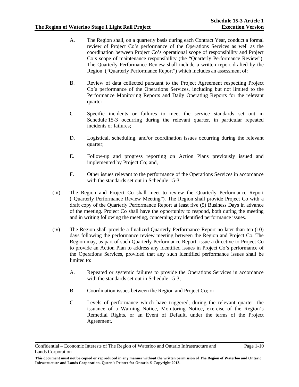- A. The Region shall, on a quarterly basis during each Contract Year, conduct a formal review of Project Co's performance of the Operations Services as well as the coordination between Project Co's operational scope of responsibility and Project Co's scope of maintenance responsibility (the "Quarterly Performance Review"). The Quarterly Performance Review shall include a written report drafted by the Region ("Quarterly Performance Report") which includes an assessment of:
- B. Review of data collected pursuant to the Project Agreement respecting Project Co's performance of the Operations Services, including but not limited to the Performance Monitoring Reports and Daily Operating Reports for the relevant quarter;
- C. Specific incidents or failures to meet the service standards set out in Schedule 15-3 occurring during the relevant quarter, in particular repeated incidents or failures;
- D. Logistical, scheduling, and/or coordination issues occurring during the relevant quarter;
- E. Follow-up and progress reporting on Action Plans previously issued and implemented by Project Co; and,
- F. Other issues relevant to the performance of the Operations Services in accordance with the standards set out in Schedule 15-3.
- (iii) The Region and Project Co shall meet to review the Quarterly Performance Report ("Quarterly Performance Review Meeting"). The Region shall provide Project Co with a draft copy of the Quarterly Performance Report at least five (5) Business Days in advance of the meeting. Project Co shall have the opportunity to respond, both during the meeting and in writing following the meeting, concerning any identified performance issues.
- (iv) The Region shall provide a finalized Quarterly Performance Report no later than ten (10) days following the performance review meeting between the Region and Project Co. The Region may, as part of such Quarterly Performance Report, issue a directive to Project Co to provide an Action Plan to address any identified issues in Project Co's performance of the Operations Services, provided that any such identified performance issues shall be limited to:
	- A. Repeated or systemic failures to provide the Operations Services in accordance with the standards set out in Schedule 15-3;
	- B. Coordination issues between the Region and Project Co; or
	- C. Levels of performance which have triggered, during the relevant quarter, the issuance of a Warning Notice, Monitoring Notice, exercise of the Region's Remedial Rights, or an Event of Default, under the terms of the Project Agreement.

Confidential – Economic Interests of The Region of Waterloo and Ontario Infrastructure and Lands Corporation

**This document must not be copied or reproduced in any manner without the written permission of The Region of Waterloo and Ontario Infrastructure and Lands Corporation. Queen's Printer for Ontario © Copyright 2013.**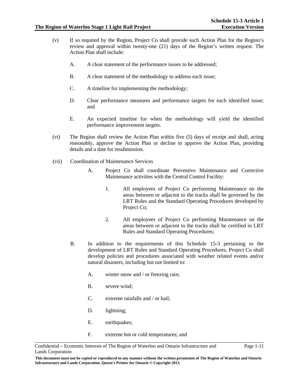Page 1-11

- (v) If so required by the Region, Project Co shall provide such Action Plan for the Region's review and approval within twenty-one (21) days of the Region's written request. The Action Plan shall include:
	- A. A clear statement of the performance issues to be addressed;
	- B. A clear statement of the methodology to address each issue;
	- C. A timeline for implementing the methodology;
	- D. Clear performance measures and performance targets for each identified issue; and
	- E. An expected timeline for when the methodology will yield the identified performance improvement targets.
- (vi) The Region shall review the Action Plan within five (5) days of receipt and shall, acting reasonably, approve the Action Plan or decline to approve the Action Plan, providing details and a date for resubmission.
- (vii) Coordination of Maintenance Services
	- A. Project Co shall coordinate Preventive Maintenance and Corrective Maintenance activities with the Central Control Facility:
		- 1. All employees of Project Co performing Maintenance on the areas between or adjacent to the tracks shall be governed by the LRT Rules and the Standard Operating Procedures developed by Project Co;
		- 2. All employees of Project Co performing Maintenance on the areas between or adjacent to the tracks shall be certified in LRT Rules and Standard Operating Procedures;
	- B. In addition to the requirements of this Schedule 15-3 pertaining to the development of LRT Rules and Standard Operating Procedures, Project Co shall develop policies and procedures associated with weather related events and/or natural disasters, including but not limited to:
		- A. winter snow and / or freezing rain;
		- B. severe wind;
		- C. extreme rainfalls and / or hail;
		- D. lightning;
		- E. earthquakes;
		- F. extreme hot or cold temperatures; and

**This document must not be copied or reproduced in any manner without the written permission of The Region of Waterloo and Ontario Infrastructure and Lands Corporation. Queen's Printer for Ontario © Copyright 2013.** 

Confidential – Economic Interests of The Region of Waterloo and Ontario Infrastructure and Lands Corporation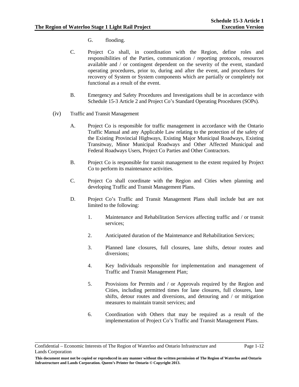- G. flooding.
- C. Project Co shall, in coordination with the Region, define roles and responsibilities of the Parties, communication / reporting protocols, resources available and / or contingent dependent on the severity of the event, standard operating procedures, prior to, during and after the event, and procedures for recovery of System or System components which are partially or completely not functional as a result of the event.
- B. Emergency and Safety Procedures and Investigations shall be in accordance with Schedule 15-3 Article 2 and Project Co's Standard Operating Procedures (SOPs).
- (iv) Traffic and Transit Management
	- A. Project Co is responsible for traffic management in accordance with the Ontario Traffic Manual and any Applicable Law relating to the protection of the safety of the Existing Provincial Highways, Existing Major Municipal Roadways, Existing Transitway, Minor Municipal Roadways and Other Affected Municipal and Federal Roadways Users, Project Co Parties and Other Contractors.
	- B. Project Co is responsible for transit management to the extent required by Project Co to perform its maintenance activities.
	- C. Project Co shall coordinate with the Region and Cities when planning and developing Traffic and Transit Management Plans.
	- D. Project Co's Traffic and Transit Management Plans shall include but are not limited to the following:
		- 1. Maintenance and Rehabilitation Services affecting traffic and / or transit services;
		- 2. Anticipated duration of the Maintenance and Rehabilitation Services;
		- 3. Planned lane closures, full closures, lane shifts, detour routes and diversions;
		- 4. Key Individuals responsible for implementation and management of Traffic and Transit Management Plan;
		- 5. Provisions for Permits and / or Approvals required by the Region and Cities, including permitted times for lane closures, full closures, lane shifts, detour routes and diversions, and detouring and / or mitigation measures to maintain transit services; and
		- 6. Coordination with Others that may be required as a result of the implementation of Project Co's Traffic and Transit Management Plans.

Confidential – Economic Interests of The Region of Waterloo and Ontario Infrastructure and Lands Corporation

**This document must not be copied or reproduced in any manner without the written permission of The Region of Waterloo and Ontario Infrastructure and Lands Corporation. Queen's Printer for Ontario © Copyright 2013.**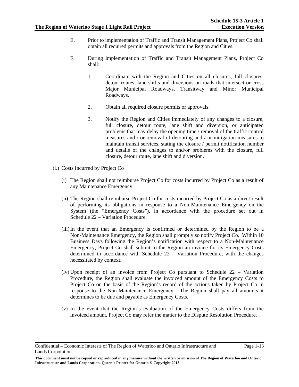Page 1-13

- E. Prior to implementation of Traffic and Transit Management Plans, Project Co shall obtain all required permits and approvals from the Region and Cities.
- F. During implementation of Traffic and Transit Management Plans, Project Co shall:
	- 1. Coordinate with the Region and Cities on all closures, full closures, detour routes, lane shifts and diversions on roads that intersect or cross Major Municipal Roadways, Transitway and Minor Municipal Roadways.
	- 2. Obtain all required closure permits or approvals.
	- 3. Notify the Region and Cities immediately of any changes to a closure, full closure, detour route, lane shift and diversion, or anticipated problems that may delay the opening time / removal of the traffic control measures and / or removal of detouring and / or mitigation measures to maintain transit services, stating the closure / permit notification number and details of the changes to and/or problems with the closure, full closure, detour route, lane shift and diversion.
- (l.) Costs Incurred by Project Co
	- (i) The Region shall not reimburse Project Co for costs incurred by Project Co as a result of any Maintenance Emergency.
	- (ii) The Region shall reimburse Project Co for costs incurred by Project Co as a direct result of performing its obligations in response to a Non-Maintenance Emergency on the System (the "Emergency Costs"), in accordance with the procedure set out in Schedule 22 – Variation Procedure.
	- (iii) In the event that an Emergency is confirmed or determined by the Region to be a Non-Maintenance Emergency, the Region shall promptly so notify Project Co. Within 10 Business Days following the Region's notification with respect to a Non-Maintenance Emergency, Project Co shall submit to the Region an invoice for its Emergency Costs determined in accordance with Schedule 22 – Variation Procedure, with the changes necessitated by context.
	- (iv) Upon receipt of an invoice from Project Co pursuant to Schedule 22 Variation Procedure, the Region shall evaluate the invoiced amount of the Emergency Costs to Project Co on the basis of the Region's record of the actions taken by Project Co in response to the Non-Maintenance Emergency. The Region shall pay all amounts it determines to be due and payable as Emergency Costs.
	- (v) In the event that the Region's evaluation of the Emergency Costs differs from the invoiced amount, Project Co may refer the matter to the Dispute Resolution Procedure.

Confidential – Economic Interests of The Region of Waterloo and Ontario Infrastructure and Lands Corporation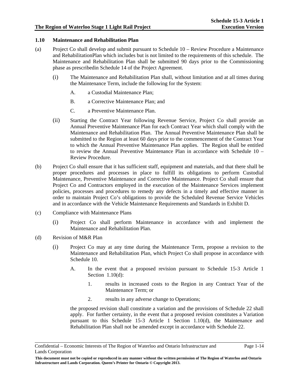#### **1.10 Maintenance and Rehabilitation Plan**

- (a) Project Co shall develop and submit pursuant to Schedule 10 Review Procedure a Maintenance and RehabilitationPlan which includes but is not limited to the requirements of this schedule. The Maintenance and Rehabilitation Plan shall be submitted 90 days prior to the Commissioning phase as prescribedin Schedule 14 of the Project Agreement.
	- (i) The Maintenance and Rehabilitation Plan shall, without limitation and at all times during the Maintenance Term, include the following for the System:
		- A. a Custodial Maintenance Plan;
		- B. a Corrective Maintenance Plan; and
		- C. a Preventive Maintenance Plan.
	- (ii) Starting the Contract Year following Revenue Service, Project Co shall provide an Annual Preventive Maintenance Plan for each Contract Year which shall comply with the Maintenance and Rehabilitation Plan. The Annual Preventive Maintenance Plan shall be submitted to the Region at least 60 days prior to the commencement of the Contract Year to which the Annual Preventive Maintenance Plan applies. The Region shall be entitled to review the Annual Preventive Maintenance Plan in accordance with Schedule 10 – Review Procedure.
- (b) Project Co shall ensure that it has sufficient staff, equipment and materials, and that there shall be proper procedures and processes in place to fulfill its obligations to perform Custodial Maintenance, Preventive Maintenance and Corrective Maintenance. Project Co shall ensure that Project Co and Contractors employed in the execution of the Maintenance Services implement policies, processes and procedures to remedy any defects in a timely and effective manner in order to maintain Project Co's obligations to provide the Scheduled Revenue Service Vehicles and in accordance with the Vehicle Maintenance Requirements and Standards in Exhibit D.
- (c) Compliance with Maintenance Plans
	- (i) Project Co shall perform Maintenance in accordance with and implement the Maintenance and Rehabilitation Plan.
- (d) Revision of M&R Plan
	- (i) Project Co may at any time during the Maintenance Term, propose a revision to the Maintenance and Rehabilitation Plan, which Project Co shall propose in accordance with Schedule 10.
		- A. In the event that a proposed revision pursuant to Schedule 15-3 Article 1 Section 1.10(d):
			- 1. results in increased costs to the Region in any Contract Year of the Maintenance Term; or
			- 2. results in any adverse change to Operations;

the proposed revision shall constitute a variation and the provisions of Schedule 22 shall apply. For further certainty, in the event that a proposed revision constitutes a Variation pursuant to this Schedule 15-3 Article 1 Section 1.10(d), the Maintenance and Rehabilitation Plan shall not be amended except in accordance with Schedule 22.

Confidential – Economic Interests of The Region of Waterloo and Ontario Infrastructure and Lands Corporation

**This document must not be copied or reproduced in any manner without the written permission of The Region of Waterloo and Ontario Infrastructure and Lands Corporation. Queen's Printer for Ontario © Copyright 2013.**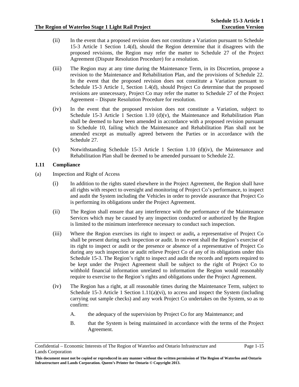- (ii) In the event that a proposed revision does not constitute a Variation pursuant to Schedule 15-3 Article 1 Section 1.4(d), should the Region determine that it disagrees with the proposed revisions, the Region may refer the matter to Schedule 27 of the Project Agreement (Dispute Resolution Procedure) for a resolution.
- (iii) The Region may at any time during the Maintenance Term, in its Discretion, propose a revision to the Maintenance and Rehabilitation Plan, and the provisions of Schedule 22. In the event that the proposed revision does not constitute a Variation pursuant to Schedule 15-3 Article 1, Section 1.4(d), should Project Co determine that the proposed revisions are unnecessary, Project Co may refer the matter to Schedule 27 of the Project Agreement – Dispute Resolution Procedure for resolution.
- (iv) In the event that the proposed revision does not constitute a Variation, subject to Schedule 15-3 Article 1 Section 1.10 (d)(v), the Maintenance and Rehabilitation Plan shall be deemed to have been amended in accordance with a proposed revision pursuant to Schedule 10, failing which the Maintenance and Rehabilitation Plan shall not be amended except as mutually agreed between the Parties or in accordance with the Schedule 27.
- (v) Notwithstanding Schedule 15-3 Article 1 Section 1.10 (d)(iv), the Maintenance and Rehabilitation Plan shall be deemed to be amended pursuant to Schedule 22.

### **1.11 Compliance**

- (a) Inspection and Right of Access
	- (i) In addition to the rights stated elsewhere in the Project Agreement, the Region shall have all rights with respect to oversight and monitoring of Project Co's performance, to inspect and audit the System including the Vehicles in order to provide assurance that Project Co is performing its obligations under the Project Agreement.
	- (ii) The Region shall ensure that any interference with the performance of the Maintenance Services which may be caused by any inspection conducted or authorized by the Region is limited to the minimum interference necessary to conduct such inspection.
	- (iii) Where the Region exercises its right to inspect or audit**,** a representative of Project Co shall be present during such inspection or audit. In no event shall the Region's exercise of its right to inspect or audit or the presence or absence of a representative of Project Co during any such inspection or audit relieve Project Co of any of its obligations under this Schedule 15-3. The Region's right to inspect and audit the records and reports required to be kept under the Project Agreement shall be subject to the right of Project Co to withhold financial information unrelated to information the Region would reasonably require to exercise to the Region's rights and obligations under the Project Agreement.
	- (iv) The Region has a right, at all reasonable times during the Maintenance Term, subject to Schedule 15-3 Article 1 Section 1.11(a)(vi), to access and inspect the System (including carrying out sample checks) and any work Project Co undertakes on the System, so as to confirm:
		- A. the adequacy of the supervision by Project Co for any Maintenance; and
		- B. that the System is being maintained in accordance with the terms of the Project Agreement.

Confidential – Economic Interests of The Region of Waterloo and Ontario Infrastructure and Lands Corporation

**This document must not be copied or reproduced in any manner without the written permission of The Region of Waterloo and Ontario Infrastructure and Lands Corporation. Queen's Printer for Ontario © Copyright 2013.**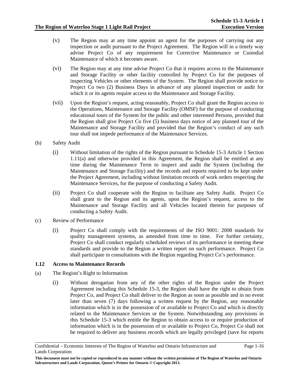- (v) The Region may at any time appoint an agent for the purposes of carrying out any inspection or audit pursuant to the Project Agreement. The Region will in a timely way advise Project Co of any requirement for Corrective Maintenance or Custodial Maintenance of which it becomes aware.
- (vi) The Region may at any time advise Project Co that it requires access to the Maintenance and Storage Facility or other facility controlled by Project Co for the purposes of inspecting Vehicles or other elements of the System. The Region shall provide notice to Project Co two (2) Business Days in advance of any planned inspection or audit for which it or its agents require access to the Maintenance and Storage Facility.
- (vii) Upon the Region's request, acting reasonably, Project Co shall grant the Region access to the Operations, Maintenance and Storage Facility (OMSF) for the purpose of conducting educational tours of the System for the public and other interested Persons, provided that the Region shall give Project Co five (5) business days notice of any planned tour of the Maintenance and Storage Facility and provided that the Region's conduct of any such tour shall not impede performance of the Maintenance Services.
- (b) Safety Audit
	- (i) Without limitation of the rights of the Region pursuant to Schedule 15-3 Article 1 Section 1.11(a) and otherwise provided in this Agreement, the Region shall be entitled at any time during the Maintenance Term to inspect and audit the System (including the Maintenance and Storage Facility) and the records and reports required to be kept under the Project Agreement, including without limitation records of work orders respecting the Maintenance Services, for the purpose of conducting a Safety Audit.
	- (ii) Project Co shall cooperate with the Region to facilitate any Safety Audit. Project Co shall grant to the Region and its agents, upon the Region's request, access to the Maintenance and Storage Facility and all Vehicles located therein for purposes of conducting a Safety Audit.
- (c) Review of Performance
	- (i) Project Co shall comply with the requirements of the ISO 9001: 2008 standards for quality management systems, as amended from time to time. For further certainty, Project Co shall conduct regularly scheduled reviews of its performance in meeting these standards and provide to the Region a written report on such performance. Project Co shall participate in consultations with the Region regarding Project Co's performance.

#### **1.12 Access to Maintenance Records**

- (a) The Region's Right to Information
	- (i) Without derogation from any of the other rights of the Region under the Project Agreement including this Schedule 15-3, the Region shall have the right to obtain from Project Co, and Project Co shall deliver to the Region as soon as possible and in no event later than seven (7) days following a written request by the Region, any reasonable information which is in the possession of or available to Project Co and which is directly related to the Maintenance Services or the System. Notwithstanding any provisions in this Schedule 15-3 which entitle the Region to obtain access to or require production of information which is in the possession of or available to Project Co, Project Co shall not be required to deliver any business records which are legally privileged (save for reports

Confidential – Economic Interests of The Region of Waterloo and Ontario Infrastructure and Lands Corporation

**This document must not be copied or reproduced in any manner without the written permission of The Region of Waterloo and Ontario Infrastructure and Lands Corporation. Queen's Printer for Ontario © Copyright 2013.**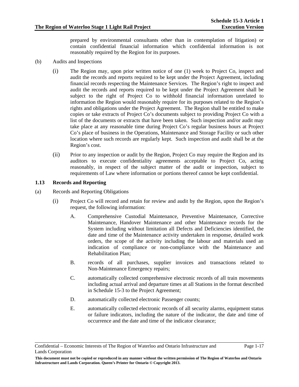prepared by environmental consultants other than in contemplation of litigation) or contain confidential financial information which confidential information is not reasonably required by the Region for its purposes.

- (b) Audits and Inspections
	- (i) The Region may, upon prior written notice of one (1) week to Project Co, inspect and audit the records and reports required to be kept under the Project Agreement, including financial records respecting the Maintenance Services. The Region's right to inspect and audit the records and reports required to be kept under the Project Agreement shall be subject to the right of Project Co to withhold financial information unrelated to information the Region would reasonably require for its purposes related to the Region's rights and obligations under the Project Agreement. The Region shall be entitled to make copies or take extracts of Project Co's documents subject to providing Project Co with a list of the documents or extracts that have been taken. Such inspection and/or audit may take place at any reasonable time during Project Co's regular business hours at Project Co's place of business in the Operations, Maintenance and Storage Facility or such other location where such records are regularly kept. Such inspection and audit shall be at the Region's cost.
	- (ii) Prior to any inspection or audit by the Region, Project Co may require the Region and its auditors to execute confidentiality agreements acceptable to Project Co, acting reasonably, in respect of the subject matter of the audit or inspection, subject to requirements of Law where information or portions thereof cannot be kept confidential.

### **1.13 Records and Reporting**

- (a) Records and Reporting Obligations
	- (i) Project Co will record and retain for review and audit by the Region, upon the Region's request, the following information:
		- A. Comprehensive Custodial Maintenance, Preventive Maintenance, Corrective Maintenance, Handover Maintenance and other Maintenance records for the System including without limitation all Defects and Deficiencies identified, the date and time of the Maintenance activity undertaken in response, detailed work orders, the scope of the activity including the labour and materials used an indication of compliance or non-compliance with the Maintenance and Rehabilitation Plan;
		- B. records of all purchases, supplier invoices and transactions related to Non-Maintenance Emergency repairs;
		- C. automatically collected comprehensive electronic records of all train movements including actual arrival and departure times at all Stations in the format described in Schedule 15-3 to the Project Agreement;
		- D. automatically collected electronic Passenger counts;
		- E. automatically collected electronic records of all security alarms, equipment status or failure indicators, including the nature of the indicator, the date and time of occurrence and the date and time of the indicator clearance;

Confidential – Economic Interests of The Region of Waterloo and Ontario Infrastructure and Lands Corporation

**This document must not be copied or reproduced in any manner without the written permission of The Region of Waterloo and Ontario Infrastructure and Lands Corporation. Queen's Printer for Ontario © Copyright 2013.**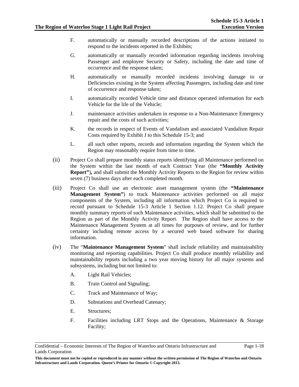- F. automatically or manually recorded descriptions of the actions initiated to respond to the incidents reported in the Exhibits;
- G. automatically or manually recorded information regarding incidents involving Passenger and employee Security or Safety, including the date and time of occurrence and the response taken;
- H. automatically or manually recorded incidents involving damage to or Deficiencies existing in the System affecting Passengers, including date and time of occurrence and response taken;
- I. automatically recorded Vehicle time and distance operated information for each Vehicle for the life of the Vehicle;
- J. maintenance activities undertaken in response to a Non-Maintenance Emergency repair and the costs of such activities;
- K. the records in respect of Events of Vandalism and associated Vandalism Repair Costs required by Exhibit J to this Schedule 15-3; and
- L. all such other reports, records and information regarding the System which the Region may reasonably require from time to time.
- (ii) Project Co shall prepare monthly status reports identifying all Maintenance performed on the System within the last month of each Contract Year (the **"Monthly Activity Report"**)**,** and shall submit the Monthly Activity Reports to the Region for review within seven (7) business days after each completed month.
- (iii) Project Co shall use an electronic asset management system (the **"Maintenance Management System"**) to track Maintenance activities performed on all major components of the System, including all information which Project Co is required to record pursuant to Schedule 15-3 Article 1 Section 1.12. Project Co shall prepare monthly summary reports of such Maintenance activities, which shall be submitted to the Region as part of the Monthly Activity Report. The Region shall have access to the Maintenance Management System at all times for purposes of review, and for further certainty including remote access by a secured web based software for sharing information.
- (iv) The "**Maintenance Management System**" shall include reliability and maintainability monitoring and reporting capabilities. Project Co shall produce monthly reliability and maintainability reports including a two year moving history for all major systems and subsystems, including but not limited to:
	- A. Light Rail Vehicles;
	- B. Train Control and Signaling;
	- C. Track and Maintenance of Way;
	- D. Substations and Overhead Catenary;
	- E. Structures;
	- F. Facilities including LRT Stops and the Operations, Maintenance & Storage Facility;

Confidential – Economic Interests of The Region of Waterloo and Ontario Infrastructure and Lands Corporation

**This document must not be copied or reproduced in any manner without the written permission of The Region of Waterloo and Ontario Infrastructure and Lands Corporation. Queen's Printer for Ontario © Copyright 2013.**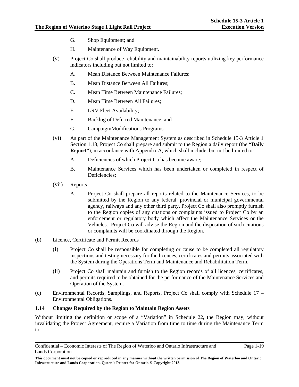- G. Shop Equipment; and
- H. Maintenance of Way Equipment.
- (v) Project Co shall produce reliability and maintainability reports utilizing key performance indicators including but not limited to:
	- A. Mean Distance Between Maintenance Failures;
	- B. Mean Distance Between All Failures;
	- C. Mean Time Between Maintenance Failures;
	- D. Mean Time Between All Failures;
	- E. LRV Fleet Availability;
	- F. Backlog of Deferred Maintenance; and
	- G. Campaign/Modifications Programs
- (vi) As part of the Maintenance Management System as described in Schedule 15-3 Article 1 Section 1.13, Project Co shall prepare and submit to the Region a daily report (the **"Daily Report"**), in accordance with Appendix A, which shall include, but not be limited to:
	- A. Deficiencies of which Project Co has become aware;
	- B. Maintenance Services which has been undertaken or completed in respect of Deficiencies;
- (vii) Reports
	- A. Project Co shall prepare all reports related to the Maintenance Services, to be submitted by the Region to any federal, provincial or municipal governmental agency, railways and any other third party. Project Co shall also promptly furnish to the Region copies of any citations or complaints issued to Project Co by an enforcement or regulatory body which affect the Maintenance Services or the Vehicles. Project Co will advise the Region and the disposition of such citations or complaints will be coordinated through the Region.
- (b) Licence, Certificate and Permit Records
	- (i) Project Co shall be responsible for completing or cause to be completed all regulatory inspections and testing necessary for the licences, certificates and permits associated with the System during the Operations Term and Maintenance and Rehabilitation Term.
	- (ii) Project Co shall maintain and furnish to the Region records of all licences, certificates, and permits required to be obtained for the performance of the Maintenance Services and Operation of the System.
- (c) Environmental Records, Samplings, and Reports, Project Co shall comply with Schedule 17 Environmental Obligations.

#### **1.14 Changes Required by the Region to Maintain Region Assets**

Without limiting the definition or scope of a "Variation" in Schedule 22, the Region may, without invalidating the Project Agreement, require a Variation from time to time during the Maintenance Term to:

Confidential – Economic Interests of The Region of Waterloo and Ontario Infrastructure and Lands Corporation

**This document must not be copied or reproduced in any manner without the written permission of The Region of Waterloo and Ontario Infrastructure and Lands Corporation. Queen's Printer for Ontario © Copyright 2013.**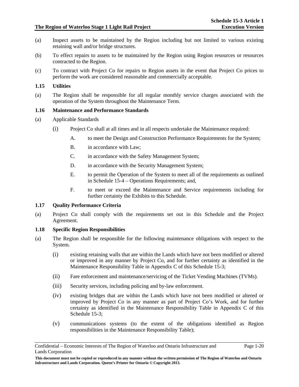- (a) Inspect assets to be maintained by the Region including but not limited to various existing retaining wall and/or bridge structures.
- (b) To effect repairs to assets to be maintained by the Region using Region resources or resources contracted to the Region.
- (c) To contract with Project Co for repairs to Region assets in the event that Project Co prices to perform the work are considered reasonable and commercially acceptable.

#### **1.15 Utilities**

(a) The Region shall be responsible for all regular monthly service charges associated with the operation of the System throughout the Maintenance Term.

#### **1.16 Maintenance and Performance Standards**

- (a) Applicable Standards
	- (i) Project Co shall at all times and in all respects undertake the Maintenance required:
		- A. to meet the Design and Construction Performance Requirements for the System;
		- B. in accordance with Law;
		- C. in accordance with the Safety Management System;
		- D. in accordance with the Security Management System;
		- E. to permit the Operation of the System to meet all of the requirements as outlined in Schedule 15-4 – Operations Requirements; and,
		- F. to meet or exceed the Maintenance and Service requirements including for further certainty the Exhibits to this Schedule.

#### **1.17 Quality Performance Criteria**

(a) Project Co shall comply with the requirements set out in this Schedule and the Project Agreement.

#### **1.18 Specific Region Responsibilities**

- (a) The Region shall be responsible for the following maintenance obligations with respect to the System.
	- (i) existing retaining walls that are within the Lands which have not been modified or altered or improved in any manner by Project Co, and for further certainty as identified in the Maintenance Responsibility Table in Appendix C of this Schedule 15-3;
	- (ii) Fare enforcement and maintenance/servicing of the Ticket Vending Machines (TVMs).
	- (iii) Security services, including policing and by-law enforcement.
	- (iv) existing bridges that are within the Lands which have not been modified or altered or improved by Project Co in any manner as part of Project Co's Work, and for further certainty as identified in the Maintenance Responsibility Table in Appendix C of this Schedule 15-3;
	- (v) communications systems (to the extent of the obligations identified as Region responsibilities in the Maintenance Responsibility Table);

Confidential – Economic Interests of The Region of Waterloo and Ontario Infrastructure and Lands Corporation

**This document must not be copied or reproduced in any manner without the written permission of The Region of Waterloo and Ontario Infrastructure and Lands Corporation. Queen's Printer for Ontario © Copyright 2013.**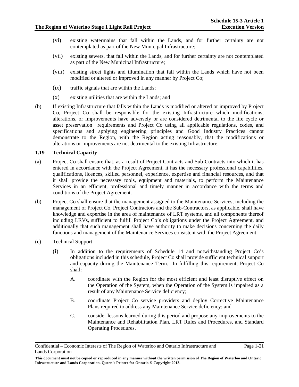- (vi) existing watermains that fall within the Lands, and for further certainty are not contemplated as part of the New Municipal Infrastructure;
- (vii) existing sewers, that fall within the Lands, and for further certainty are not contemplated as part of the New Municipal Infrastructure;
- (viii) existing street lights and illumination that fall within the Lands which have not been modified or altered or improved in any manner by Project Co;
- (ix) traffic signals that are within the Lands;
- (x) existing utilities that are within the Lands; and
- (b) If existing Infrastructure that falls within the Lands is modified or altered or improved by Project Co, Project Co shall be responsible for the existing Infrastructure which modifications, alterations, or improvements have adversely or are considered detrimental to the life cycle or asset preservation requirements and Project Co using all applicable regulations, codes, and specifications and applying engineering principles and Good Industry Practices cannot demonstrate to the Region, with the Region acting reasonably, that the modifications or alterations or improvements are not detrimental to the existing Infrastructure.

#### **1.19 Technical Capacity**

- (a) Project Co shall ensure that, as a result of Project Contracts and Sub-Contracts into which it has entered in accordance with the Project Agreement, it has the necessary professional capabilities, qualifications, licences, skilled personnel, experience, expertise and financial resources, and that it shall provide the necessary tools, equipment and materials, to perform the Maintenance Services in an efficient, professional and timely manner in accordance with the terms and conditions of the Project Agreement.
- (b) Project Co shall ensure that the management assigned to the Maintenance Services, including the management of Project Co, Project Contractors and the Sub-Contractors, as applicable, shall have knowledge and expertise in the area of maintenance of LRT systems, and all components thereof including LRVs, sufficient to fulfill Project Co's obligations under the Project Agreement, and additionally that such management shall have authority to make decisions concerning the daily functions and management of the Maintenance Services consistent with the Project Agreement.
- (c) Technical Support
	- (i) In addition to the requirements of Schedule 14 and notwithstanding Project Co's obligations included in this schedule, Project Co shall provide sufficient technical support and capacity during the Maintenance Term. In fulfilling this requirement, Project Co shall:
		- A. coordinate with the Region for the most efficient and least disruptive effect on the Operation of the System, when the Operation of the System is impaired as a result of any Maintenance Service deficiency;
		- B. coordinate Project Co service providers and deploy Corrective Maintenance Plans required to address any Maintenance Service deficiency; and
		- C. consider lessons learned during this period and propose any improvements to the Maintenance and Rehabilitation Plan, LRT Rules and Procedures, and Standard Operating Procedures.

Confidential – Economic Interests of The Region of Waterloo and Ontario Infrastructure and Lands Corporation

**This document must not be copied or reproduced in any manner without the written permission of The Region of Waterloo and Ontario Infrastructure and Lands Corporation. Queen's Printer for Ontario © Copyright 2013.**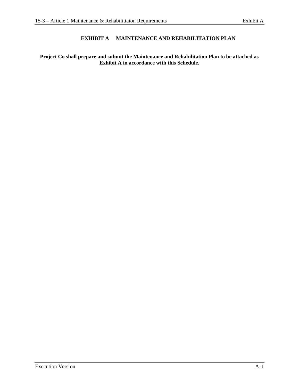### **EXHIBIT A MAINTENANCE AND REHABILITATION PLAN**

### **Project Co shall prepare and submit the Maintenance and Rehabilitation Plan to be attached as Exhibit A in accordance with this Schedule.**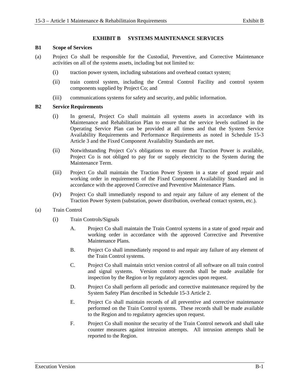#### **EXHIBIT B SYSTEMS MAINTENANCE SERVICES**

#### **B1 Scope of Services**

- (a) Project Co shall be responsible for the Custodial, Preventive, and Corrective Maintenance activities on all of the systems assets, including but not limited to:
	- (i) traction power system, including substations and overhead contact system;
	- (ii) train control system, including the Central Control Facility and control system components supplied by Project Co; and
	- (iii) communications systems for safety and security, and public information.

#### **B2 Service Requirements**

- (i) In general, Project Co shall maintain all systems assets in accordance with its Maintenance and Rehabilitation Plan to ensure that the service levels outlined in the Operating Service Plan can be provided at all times and that the System Service Availability Requirements and Performance Requirements as noted in Schedule 15-3 Article 3 and the Fixed Component Availability Standards are met.
- (ii) Notwithstanding Project Co's obligations to ensure that Traction Power is available, Project Co is not obliged to pay for or supply electricity to the System during the Maintenance Term.
- (iii) Project Co shall maintain the Traction Power System in a state of good repair and working order in requirements of the Fixed Component Availability Standard and in accordance with the approved Corrective and Preventive Maintenance Plans.
- (iv) Project Co shall immediately respond to and repair any failure of any element of the Traction Power System (substation, power distribution, overhead contact system, etc.).
- (a) Train Control
	- (i) Train Controls/Signals
		- A. Project Co shall maintain the Train Control systems in a state of good repair and working order in accordance with the approved Corrective and Preventive Maintenance Plans.
		- B. Project Co shall immediately respond to and repair any failure of any element of the Train Control systems.
		- C. Project Co shall maintain strict version control of all software on all train control and signal systems. Version control records shall be made available for inspection by the Region or by regulatory agencies upon request.
		- D. Project Co shall perform all periodic and corrective maintenance required by the System Safety Plan described in Schedule 15-3 Article 2.
		- E. Project Co shall maintain records of all preventive and corrective maintenance performed on the Train Control systems. These records shall be made available to the Region and to regulatory agencies upon request.
		- F. Project Co shall monitor the security of the Train Control network and shall take counter measures against intrusion attempts. All intrusion attempts shall be reported to the Region.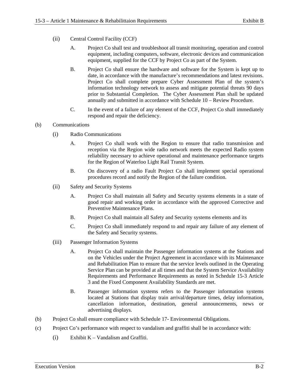- (ii) Central Control Facility (CCF)
	- A. Project Co shall test and troubleshoot all transit monitoring, operation and control equipment, including computers, software, electronic devices and communication equipment, supplied for the CCF by Project Co as part of the System.
	- B. Project Co shall ensure the hardware and software for the System is kept up to date, in accordance with the manufacture's recommendations and latest revisions. Project Co shall complete prepare Cyber Assessment Plan of the system's information technology network to assess and mitigate potential threats 90 days prior to Substantial Completion. The Cyber Assessment Plan shall be updated annually and submitted in accordance with Schedule 10 – Review Procedure.
	- C. In the event of a failure of any element of the CCF, Project Co shall immediately respond and repair the deficiency.
- (b) Communications
	- (i) Radio Communications
		- A. Project Co shall work with the Region to ensure that radio transmission and reception via the Region wide radio network meets the expected Radio system reliability necessary to achieve operational and maintenance performance targets for the Region of Waterloo Light Rail Transit System.
		- B. On discovery of a radio Fault Project Co shall implement special operational procedures record and notify the Region of the failure condition.
	- (ii) Safety and Security Systems
		- A. Project Co shall maintain all Safety and Security systems elements in a state of good repair and working order in accordance with the approved Corrective and Preventive Maintenance Plans.
		- B. Project Co shall maintain all Safety and Security systems elements and its
		- C. Project Co shall immediately respond to and repair any failure of any element of the Safety and Security systems.
	- (iii) Passenger Information Systems
		- A. Project Co shall maintain the Passenger information systems at the Stations and on the Vehicles under the Project Agreement in accordance with its Maintenance and Rehabilitation Plan to ensure that the service levels outlined in the Operating Service Plan can be provided at all times and that the System Service Availability Requirements and Performance Requirements as noted in Schedule 15-3 Article 3 and the Fixed Component Availability Standards are met.
		- B. Passenger information systems refers to the Passenger information systems located at Stations that display train arrival/departure times, delay information, cancellation information, destination, general announcements, news or advertising displays.
- (b) Project Co shall ensure compliance with Schedule 17- Environmental Obligations.
- (c) Project Co's performance with respect to vandalism and graffiti shall be in accordance with:
	- (i) Exhibit K Vandalism and Graffiti.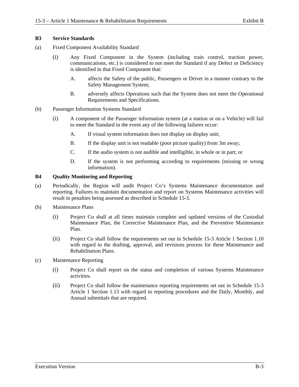### **B3 Service Standards**

- (a) Fixed Component Availability Standard
	- (i) Any Fixed Component in the System (including train control, traction power, communications, etc.) is considered to not meet the Standard if any Defect or Deficiency is identified in that Fixed Component that:
		- A. affects the Safety of the public, Passengers or Driver in a manner contrary to the Safety Management System;
		- B. adversely affects Operations such that the System does not meet the Operational Requirements and Specifications.
- (b) Passenger Information Systems Standard
	- (i) A component of the Passenger information system (at a station or on a Vehicle) will fail to meet the Standard in the event any of the following failures occur:
		- A. If visual system information does not display on display unit;
		- B. If the display unit is not readable (poor picture quality) from 3m away;
		- C. If the audio system is not audible and intelligible, in whole or in part; or
		- D. If the system is not performing according to requirements (missing or wrong information).

### **B4 Quality Monitoring and Reporting**

- (a) Periodically, the Region will audit Project Co's Systems Maintenance documentation and reporting. Failures to maintain documentation and report on Systems Maintenance activities will result in penalties being assessed as described in Schedule 15-3.
- (b) Maintenance Plans
	- (i) Project Co shall at all times maintain complete and updated versions of the Custodial Maintenance Plan, the Corrective Maintenance Plan, and the Preventive Maintenance Plan.
	- (ii) Project Co shall follow the requirements set out in Schedule 15-3 Article 1 Section 1.10 with regard to the drafting, approval, and revisions process for these Maintenance and Rehabilitation Plans.
- (c) Maintenance Reporting
	- (i) Project Co shall report on the status and completion of various Systems Maintenance activities.
	- (ii) Project Co shall follow the maintenance reporting requirements set out in Schedule 15-3 Article 1 Section 1.13 with regard to reporting procedures and the Daily, Monthly, and Annual submittals that are required.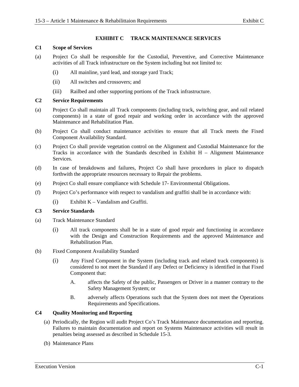### **EXHIBIT C TRACK MAINTENANCE SERVICES**

#### **C1 Scope of Services**

- (a) Project Co shall be responsible for the Custodial, Preventive, and Corrective Maintenance activities of all Track infrastructure on the System including but not limited to:
	- (i) All mainline, yard lead, and storage yard Track;
	- (ii) All switches and crossovers; and
	- (iii) Railbed and other supporting portions of the Track infrastructure.

#### **C2 Service Requirements**

- (a) Project Co shall maintain all Track components (including track, switching gear, and rail related components) in a state of good repair and working order in accordance with the approved Maintenance and Rehabilitation Plan.
- (b) Project Co shall conduct maintenance activities to ensure that all Track meets the Fixed Component Availability Standard.
- (c) Project Co shall provide vegetation control on the Alignment and Custodial Maintenance for the Tracks in accordance with the Standards described in Exhibit H – Alignment Maintenance Services.
- (d) In case of breakdowns and failures, Project Co shall have procedures in place to dispatch forthwith the appropriate resources necessary to Repair the problems.
- (e) Project Co shall ensure compliance with Schedule 17- Environmental Obligations.
- (f) Project Co's performance with respect to vandalism and graffiti shall be in accordance with:
	- (i) Exhibit K Vandalism and Graffiti.

### **C3 Service Standards**

- (a) Track Maintenance Standard
	- (i) All track components shall be in a state of good repair and functioning in accordance with the Design and Construction Requirements and the approved Maintenance and Rehabilitation Plan.
- (b) Fixed Component Availability Standard
	- (i) Any Fixed Component in the System (including track and related track components) is considered to not meet the Standard if any Defect or Deficiency is identified in that Fixed Component that:
		- A. affects the Safety of the public, Passengers or Driver in a manner contrary to the Safety Management System; or
		- B. adversely affects Operations such that the System does not meet the Operations Requirements and Specifications.

### **C4 Quality Monitoring and Reporting**

- (a) Periodically, the Region will audit Project Co's Track Maintenance documentation and reporting. Failures to maintain documentation and report on Systems Maintenance activities will result in penalties being assessed as described in Schedule 15-3.
- (b) Maintenance Plans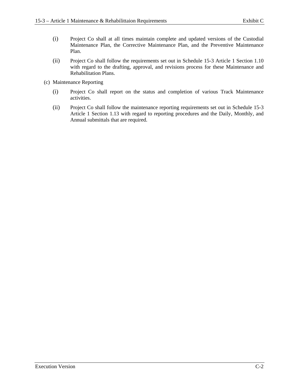- (i) Project Co shall at all times maintain complete and updated versions of the Custodial Maintenance Plan, the Corrective Maintenance Plan, and the Preventive Maintenance Plan.
- (ii) Project Co shall follow the requirements set out in Schedule 15-3 Article 1 Section 1.10 with regard to the drafting, approval, and revisions process for these Maintenance and Rehabilitation Plans.
- (c) Maintenance Reporting
	- (i) Project Co shall report on the status and completion of various Track Maintenance activities.
	- (ii) Project Co shall follow the maintenance reporting requirements set out in Schedule 15-3 Article 1 Section 1.13 with regard to reporting procedures and the Daily, Monthly, and Annual submittals that are required.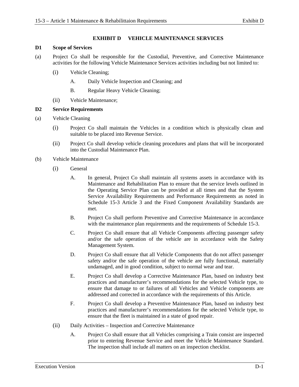### **EXHIBIT D VEHICLE MAINTENANCE SERVICES**

### **D1 Scope of Services**

- (a) Project Co shall be responsible for the Custodial, Preventive, and Corrective Maintenance activities for the following Vehicle Maintenance Services activities including but not limited to:
	- (i) Vehicle Cleaning;
		- A. Daily Vehicle Inspection and Cleaning; and
		- B. Regular Heavy Vehicle Cleaning;
	- (ii) Vehicle Maintenance;

### **D2 Service Requirements**

- (a) Vehicle Cleaning
	- (i) Project Co shall maintain the Vehicles in a condition which is physically clean and suitable to be placed into Revenue Service.
	- (ii) Project Co shall develop vehicle cleaning procedures and plans that will be incorporated into the Custodial Maintenance Plan.
- (b) Vehicle Maintenance
	- (i) General
		- A. In general, Project Co shall maintain all systems assets in accordance with its Maintenance and Rehabilitation Plan to ensure that the service levels outlined in the Operating Service Plan can be provided at all times and that the System Service Availability Requirements and Performance Requirements as noted in Schedule 15-3 Article 3 and the Fixed Component Availability Standards are met.
		- B. Project Co shall perform Preventive and Corrective Maintenance in accordance with the maintenance plan requirements and the requirements of Schedule 15-3.
		- C. Project Co shall ensure that all Vehicle Components affecting passenger safety and/or the safe operation of the vehicle are in accordance with the Safety Management System.
		- D. Project Co shall ensure that all Vehicle Components that do not affect passenger safety and/or the safe operation of the vehicle are fully functional, materially undamaged, and in good condition, subject to normal wear and tear.
		- E. Project Co shall develop a Corrective Maintenance Plan, based on industry best practices and manufacturer's recommendations for the selected Vehicle type, to ensure that damage to or failures of all Vehicles and Vehicle components are addressed and corrected in accordance with the requirements of this Article.
		- F. Project Co shall develop a Preventive Maintenance Plan, based on industry best practices and manufacturer's recommendations for the selected Vehicle type, to ensure that the fleet is maintained in a state of good repair.
	- (ii) Daily Activities Inspection and Corrective Maintenance
		- A. Project Co shall ensure that all Vehicles comprising a Train consist are inspected prior to entering Revenue Service and meet the Vehicle Maintenance Standard. The inspection shall include all matters on an inspection checklist.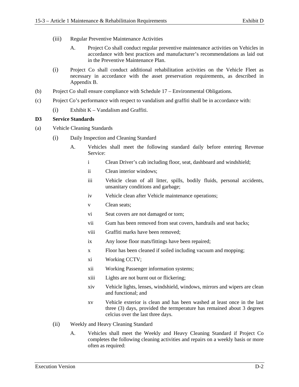- (iii) Regular Preventive Maintenance Activities
	- A. Project Co shall conduct regular preventive maintenance activities on Vehicles in accordance with best practices and manufacturer's recommendations as laid out in the Preventive Maintenance Plan.
- (i) Project Co shall conduct additional rehabilitation activities on the Vehicle Fleet as necessary in accordance with the asset preservation requirements, as described in Appendix B.
- (b) Project Co shall ensure compliance with Schedule 17 Environmental Obligations.
- (c) Project Co's performance with respect to vandalism and graffiti shall be in accordance with:
	- (i) Exhibit K Vandalism and Graffiti.

### **D3 Service Standards**

- (a) Vehicle Cleaning Standards
	- (i) Daily Inspection and Cleaning Standard
		- A. Vehicles shall meet the following standard daily before entering Revenue Service:
			- i Clean Driver's cab including floor, seat, dashboard and windshield;
			- ii Clean interior windows;
			- iii Vehicle clean of all litter, spills, bodily fluids, personal accidents, unsanitary conditions and garbage;
			- iv Vehicle clean after Vehicle maintenance operations;
			- v Clean seats;
			- vi Seat covers are not damaged or torn;
			- vii Gum has been removed from seat covers, handrails and seat backs;
			- viii Graffiti marks have been removed;
			- ix Any loose floor mats/fittings have been repaired;
			- x Floor has been cleaned if soiled including vacuum and mopping;
			- xi Working CCTV;
			- xii Working Passenger information systems;
			- xiii Lights are not burnt out or flickering;
			- xiv Vehicle lights, lenses, windshield, windows, mirrors and wipers are clean and functional; and
			- xv Vehicle exterior is clean and has been washed at least once in the last three (3) days, provided the termperature has remained about 3 degrees celcius over the last three days.
	- (ii) Weekly and Heavy Cleaning Standard
		- A. Vehicles shall meet the Weekly and Heavy Cleaning Standard if Project Co completes the following cleaning activities and repairs on a weekly basis or more often as required: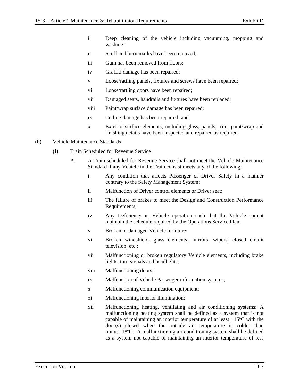- i Deep cleaning of the vehicle including vacuuming, mopping and washing;
- ii Scuff and burn marks have been removed;
- iii Gum has been removed from floors;
- iv Graffiti damage has been repaired;
- v Loose/rattling panels, fixtures and screws have been repaired;
- vi Loose/rattling doors have been repaired;
- vii Damaged seats, handrails and fixtures have been replaced;
- viii Paint/wrap surface damage has been repaired;
- ix Ceiling damage has been repaired; and
- x Exterior surface elements, including glass, panels, trim, paint/wrap and finishing details have been inspected and repaired as required.
- (b) Vehicle Maintenance Standards
	- (i) Train Scheduled for Revenue Service
		- A. A Train scheduled for Revenue Service shall not meet the Vehicle Maintenance Standard if any Vehicle in the Train consist meets any of the following:
			- i Any condition that affects Passenger or Driver Safety in a manner contrary to the Safety Management System;
			- ii Malfunction of Driver control elements or Driver seat;
			- iii The failure of brakes to meet the Design and Construction Performance Requirements;
			- iv Any Deficiency in Vehicle operation such that the Vehicle cannot maintain the schedule required by the Operations Service Plan;
			- v Broken or damaged Vehicle furniture;
			- vi Broken windshield, glass elements, mirrors, wipers, closed circuit television, etc.;
			- vii Malfunctioning or broken regulatory Vehicle elements, including brake lights, turn signals and headlights;
			- viii Malfunctioning doors;
			- ix Malfunction of Vehicle Passenger information systems;
			- x Malfunctioning communication equipment;
			- xi Malfunctioning interior illumination;
			- xii Malfunctioning heating, ventilating and air conditioning systems; A malfunctioning heating system shall be defined as a system that is not capable of maintaining an interior temperature of at least +15ºC with the door(s) closed when the outside air temperature is colder than minus -18ºC. A malfunctioning air conditioning system shall be defined as a system not capable of maintaining an interior temperature of less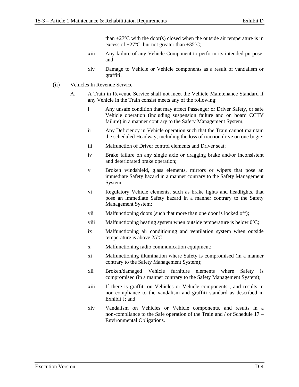than  $+27^{\circ}$ C with the door(s) closed when the outside air temperature is in excess of  $+27^{\circ}$ C, but not greater than  $+35^{\circ}$ C;

- xiii Any failure of any Vehicle Component to perform its intended purpose; and
- xiv Damage to Vehicle or Vehicle components as a result of vandalism or graffiti.
- (ii) Vehicles In Revenue Service
	- A. A Train in Revenue Service shall not meet the Vehicle Maintenance Standard if any Vehicle in the Train consist meets any of the following:
		- i Any unsafe condition that may affect Passenger or Driver Safety, or safe Vehicle operation (including suspension failure and on board CCTV failure) in a manner contrary to the Safety Management System;
		- ii Any Deficiency in Vehicle operation such that the Train cannot maintain the scheduled Headway, including the loss of traction drive on one bogie;
		- iii Malfunction of Driver control elements and Driver seat;
		- iv Brake failure on any single axle or dragging brake and/or inconsistent and deteriorated brake operation;
		- v Broken windshield, glass elements, mirrors or wipers that pose an immediate Safety hazard in a manner contrary to the Safety Management System;
		- vi Regulatory Vehicle elements, such as brake lights and headlights, that pose an immediate Safety hazard in a manner contrary to the Safety Management System;
		- vii Malfunctioning doors (such that more than one door is locked off);
		- viii Malfunctioning heating system when outside temperature is below 0°C;
		- ix Malfunctioning air conditioning and ventilation system when outside temperature is above 25ºC;
		- x Malfunctioning radio communication equipment;
		- xi Malfunctioning illumination where Safety is compromised (in a manner contrary to the Safety Management System);
		- xii Broken/damaged Vehicle furniture elements where Safety is compromised (in a manner contrary to the Safety Management System);
		- xiii If there is graffiti on Vehicles or Vehicle components , and results in non-compliance to the vandalism and graffiti standard as described in Exhibit J; and
		- xiv Vandalism on Vehicles or Vehicle components, and results in a non-compliance to the Safe operation of the Train and / or Schedule 17 – Environmental Obligations.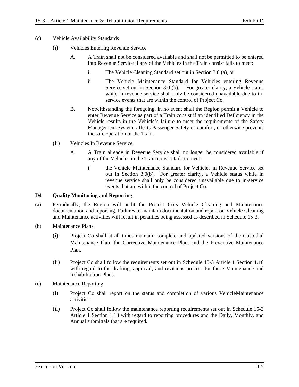- (c) Vehicle Availability Standards
	- (i) Vehicles Entering Revenue Service
		- A. A Train shall not be considered available and shall not be permitted to be entered into Revenue Service if any of the Vehicles in the Train consist fails to meet:
			- i The Vehicle Cleaning Standard set out in Section 3.0 (a), or
			- ii The Vehicle Maintenance Standard for Vehicles entering Revenue Service set out in Section 3.0 (b). For greater clarity, a Vehicle status while in revenue service shall only be considered unavailable due to inservice events that are within the control of Project Co.
		- B. Notwithstanding the foregoing, in no event shall the Region permit a Vehicle to enter Revenue Service as part of a Train consist if an identified Deficiency in the Vehicle results in the Vehicle's failure to meet the requirements of the Safety Management System, affects Passenger Safety or comfort, or otherwise prevents the safe operation of the Train.
	- (ii) Vehicles In Revenue Service
		- A. A Train already in Revenue Service shall no longer be considered available if any of the Vehicles in the Train consist fails to meet:
			- i the Vehicle Maintenance Standard for Vehicles in Revenue Service set out in Section 3.0(b). For greater clarity, a Vehicle status while in revenue service shall only be considered unavailable due to in-service events that are within the control of Project Co.

### **D4 Quality Monitoring and Reporting**

- (a) Periodically, the Region will audit the Project Co's Vehicle Cleaning and Maintenance documentation and reporting. Failures to maintain documentation and report on Vehicle Cleaning and Maintenance activities will result in penalties being assessed as described in Schedule 15-3.
- (b) Maintenance Plans
	- (i) Project Co shall at all times maintain complete and updated versions of the Custodial Maintenance Plan, the Corrective Maintenance Plan, and the Preventive Maintenance Plan.
	- (ii) Project Co shall follow the requirements set out in Schedule 15-3 Article 1 Section 1.10 with regard to the drafting, approval, and revisions process for these Maintenance and Rehabilitation Plans.
- (c) Maintenance Reporting
	- (i) Project Co shall report on the status and completion of various VehicleMaintenance activities.
	- (ii) Project Co shall follow the maintenance reporting requirements set out in Schedule 15-3 Article 1 Section 1.13 with regard to reporting procedures and the Daily, Monthly, and Annual submittals that are required.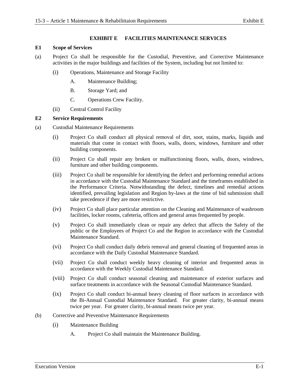### **EXHIBIT E FACILITIES MAINTENANCE SERVICES**

#### **E1 Scope of Services**

- (a) Project Co shall be responsible for the Custodial, Preventive, and Corrective Maintenance activities in the major buildings and facilities of the System, including but not limited to:
	- (i) Operations, Maintenance and Storage Facility
		- A. Maintenance Building;
		- B. Storage Yard; and
		- C. Operations Crew Facility.
	- (ii) Central Control Facility

### **E2 Service Requirements**

- (a) Custodial Maintenance Requirements
	- (i) Project Co shall conduct all physical removal of dirt, soot, stains, marks, liquids and materials that come in contact with floors, walls, doors, windows, furniture and other building components.
	- (ii) Project Co shall repair any broken or malfunctioning floors, walls, doors, windows, furniture and other building components.
	- (iii) Project Co shall be responsible for identifying the defect and performing remedial actions in accordance with the Custodial Maintenance Standard and the timeframes established in the Performance Criteria. Notwithstanding the defect, timelines and remedial actions identified, prevailing legislation and Region by-laws at the time of bid submission shall take precedence if they are more restrictive.
	- (iv) Project Co shall place particular attention on the Cleaning and Maintenance of washroom facilities, locker rooms, cafeteria, offices and general areas frequented by people.
	- (v) Project Co shall immediately clean or repair any defect that affects the Safety of the public or the Employees of Project Co and the Region in accordance with the Custodial Maintenance Standard.
	- (vi) Project Co shall conduct daily debris removal and general cleaning of frequented areas in accordance with the Daily Custodial Maintenance Standard.
	- (vii) Project Co shall conduct weekly heavy cleaning of interior and frequented areas in accordance with the Weekly Custodial Maintenance Standard.
	- (viii) Project Co shall conduct seasonal cleaning and maintenance of exterior surfaces and surface treatments in accordance with the Seasonal Custodial Maintenance Standard.
	- (ix) Project Co shall conduct bi-annual heavy cleaning of floor surfaces in accordance with the Bi-Annual Custodial Maintenance Standard. For greater clarity, bi-annual means twice per year. For greater clarity, bi-annual means twice per year.
- (b) Corrective and Preventive Maintenance Requirements
	- (i) Maintenance Building
		- A. Project Co shall maintain the Maintenance Building.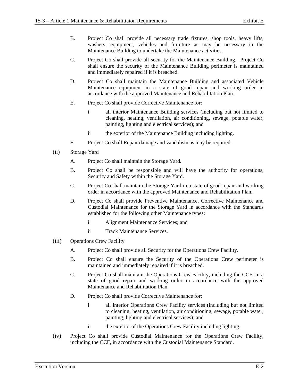- B. Project Co shall provide all necessary trade fixtures, shop tools, heavy lifts, washers, equipment, vehicles and furniture as may be necessary in the Maintenance Building to undertake the Maintenance activities.
- C. Project Co shall provide all security for the Maintenance Building. Project Co shall ensure the security of the Maintenance Building perimeter is maintained and immediately repaired if it is breached.
- D. Project Co shall maintain the Maintenance Building and associated Vehicle Maintenance equipment in a state of good repair and working order in accordance with the approved Maintenance and Rehabilitation Plan.
- E. Project Co shall provide Corrective Maintenance for:
	- i all interior Maintenance Building services (including but not limited to cleaning, heating, ventilation, air conditioning, sewage, potable water, painting, lighting and electrical services); and
	- ii the exterior of the Maintenance Building including lighting.
- F. Project Co shall Repair damage and vandalism as may be required.
- (ii) Storage Yard
	- A. Project Co shall maintain the Storage Yard.
	- B. Project Co shall be responsible and will have the authority for operations, Security and Safety within the Storage Yard.
	- C. Project Co shall maintain the Storage Yard in a state of good repair and working order in accordance with the approved Maintenance and Rehabilitation Plan.
	- D. Project Co shall provide Preventive Maintenance, Corrective Maintenance and Custodial Maintenance for the Storage Yard in accordance with the Standards established for the following other Maintenance types:
		- i Alignment Maintenance Services; and
		- ii Track Maintenance Services.
- (iii) Operations Crew Facility
	- A. Project Co shall provide all Security for the Operations Crew Facility.
	- B. Project Co shall ensure the Security of the Operations Crew perimeter is maintained and immediately repaired if it is breached.
	- C. Project Co shall maintain the Operations Crew Facility, including the CCF, in a state of good repair and working order in accordance with the approved Maintenance and Rehabilitation Plan.
	- D. Project Co shall provide Corrective Maintenance for:
		- i all interior Operations Crew Facility services (including but not limited to cleaning, heating, ventilation, air conditioning, sewage, potable water, painting, lighting and electrical services); and
		- ii the exterior of the Operations Crew Facility including lighting.
- (iv) Project Co shall provide Custodial Maintenance for the Operations Crew Facility, including the CCF, in accordance with the Custodial Maintenance Standard.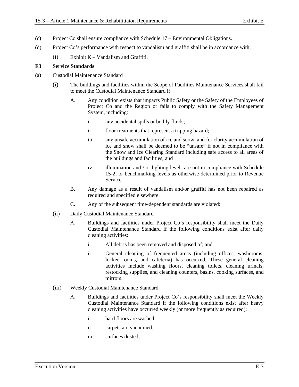- (c) Project Co shall ensure compliance with Schedule 17 Environmental Obligations.
- (d) Project Co's performance with respect to vandalism and graffiti shall be in accordance with:
	- (i) Exhibit  $K V$  and alism and Graffiti.

#### **E3 Service Standards**

- (a) Custodial Maintenance Standard
	- (i) The buildings and facilities within the Scope of Facilities Maintenance Services shall fail to meet the Custodial Maintenance Standard if:
		- A. Any condition exists that impacts Public Safety or the Safety of the Employees of Project Co and the Region or fails to comply with the Safety Management System, including:
			- i any accidental spills or bodily fluids;
			- ii floor treatments that represent a tripping hazard;
			- iii any unsafe accumulation of ice and snow, and for clarity accumulation of ice and snow shall be deemed to be "unsafe" if not in compliance with the Snow and Ice Clearing Standard including safe access to all areas of the buildings and facilities; and
			- iv illumination and / or lighting levels are not in compliance with Schedule 15-2; or benchmarking levels as otherwise determined prior to Revenue Service.
		- B. Any damage as a result of vandalism and/or graffiti has not been repaired as required and specified elsewhere.
		- C. Any of the subsequent time-dependent standards are violated:
	- (ii) Daily Custodial Maintenance Standard
		- A. Buildings and facilities under Project Co's responsibility shall meet the Daily Custodial Maintenance Standard if the following conditions exist after daily cleaning activities:
			- i All debris has been removed and disposed of; and
			- ii General cleaning of frequented areas (including offices, washrooms, locker rooms, and cafeteria) has occurred. These general cleaning activities include washing floors, cleaning toilets, cleaning urinals, restocking supplies, and cleaning counters, basins, cooking surfaces, and mirrors.
	- (iii) Weekly Custodial Maintenance Standard
		- A. Buildings and facilities under Project Co's responsibility shall meet the Weekly Custodial Maintenance Standard if the following conditions exist after heavy cleaning activities have occurred weekly (or more frequently as required):
			- i hard floors are washed;
			- ii carpets are vacuumed;
			- iii surfaces dusted;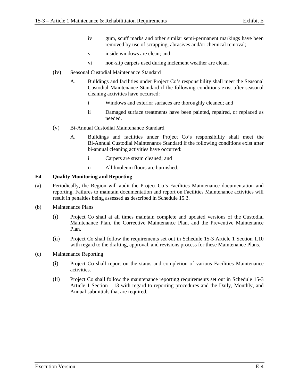- iv gum, scuff marks and other similar semi-permanent markings have been removed by use of scrapping, abrasives and/or chemical removal;
- v inside windows are clean; and
- vi non-slip carpets used during inclement weather are clean.
- (iv) Seasonal Custodial Maintenance Standard
	- A. Buildings and facilities under Project Co's responsibility shall meet the Seasonal Custodial Maintenance Standard if the following conditions exist after seasonal cleaning activities have occurred:
		- i Windows and exterior surfaces are thoroughly cleaned; and
		- ii Damaged surface treatments have been painted, repaired, or replaced as needed.
- (v) Bi-Annual Custodial Maintenance Standard
	- A. Buildings and facilities under Project Co's responsibility shall meet the Bi-Annual Custodial Maintenance Standard if the following conditions exist after bi-annual cleaning activities have occurred:
		- i Carpets are steam cleaned; and
		- ii All linoleum floors are burnished.

### **E4 Quality Monitoring and Reporting**

- (a) Periodically, the Region will audit the Project Co's Facilities Maintenance documentation and reporting. Failures to maintain documentation and report on Facilities Maintenance activities will result in penalties being assessed as described in Schedule 15.3.
- (b) Maintenance Plans
	- (i) Project Co shall at all times maintain complete and updated versions of the Custodial Maintenance Plan, the Corrective Maintenance Plan, and the Preventive Maintenance Plan.
	- (ii) Project Co shall follow the requirements set out in Schedule 15-3 Article 1 Section 1.10 with regard to the drafting, approval, and revisions process for these Maintenance Plans.
- (c) Maintenance Reporting
	- (i) Project Co shall report on the status and completion of various Facilities Maintenance activities.
	- (ii) Project Co shall follow the maintenance reporting requirements set out in Schedule 15-3 Article 1 Section 1.13 with regard to reporting procedures and the Daily, Monthly, and Annual submittals that are required.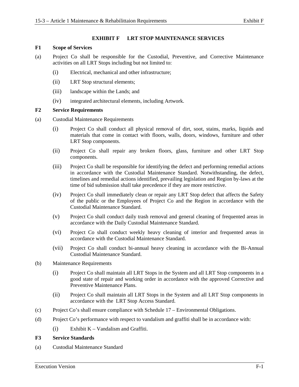#### **EXHIBIT F LRT STOP MAINTENANCE SERVICES**

#### **F1 Scope of Services**

- (a) Project Co shall be responsible for the Custodial, Preventive, and Corrective Maintenance activities on all LRT Stops including but not limited to:
	- (i) Electrical, mechanical and other infrastructure;
	- (ii) LRT Stop structural elements;
	- (iii) landscape within the Lands; and
	- (iv) integrated architectural elements, including Artwork.

#### **F2 Service Requirements**

- (a) Custodial Maintenance Requirements
	- (i) Project Co shall conduct all physical removal of dirt, soot, stains, marks, liquids and materials that come in contact with floors, walls, doors, windows, furniture and other LRT Stop components.
	- (ii) Project Co shall repair any broken floors, glass, furniture and other LRT Stop components.
	- (iii) Project Co shall be responsible for identifying the defect and performing remedial actions in accordance with the Custodial Maintenance Standard. Notwithstanding, the defect, timelines and remedial actions identified, prevailing legislation and Region by-laws at the time of bid submission shall take precedence if they are more restrictive.
	- (iv) Project Co shall immediately clean or repair any LRT Stop defect that affects the Safety of the public or the Employees of Project Co and the Region in accordance with the Custodial Maintenance Standard.
	- (v) Project Co shall conduct daily trash removal and general cleaning of frequented areas in accordance with the Daily Custodial Maintenance Standard.
	- (vi) Project Co shall conduct weekly heavy cleaning of interior and frequented areas in accordance with the Custodial Maintenance Standard.
	- (vii) Project Co shall conduct bi-annual heavy cleaning in accordance with the Bi-Annual Custodial Maintenance Standard.
- (b) Maintenance Requirements
	- (i) Project Co shall maintain all LRT Stops in the System and all LRT Stop components in a good state of repair and working order in accordance with the approved Corrective and Preventive Maintenance Plans.
	- (ii) Project Co shall maintain all LRT Stops in the System and all LRT Stop components in accordance with the LRT Stop Access Standard.
- (c) Project Co's shall ensure compliance with Schedule 17 Environmental Obligations.
- (d) Project Co's performance with respect to vandalism and graffiti shall be in accordance with:
	- $(i)$  Exhibit K Vandalism and Graffiti.

#### **F3 Service Standards**

(a) Custodial Maintenance Standard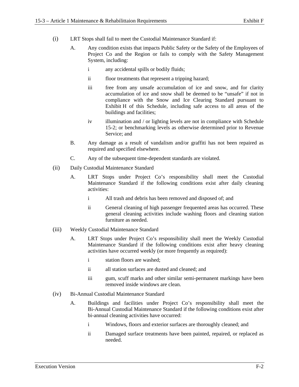- (i) LRT Stops shall fail to meet the Custodial Maintenance Standard if:
	- A. Any condition exists that impacts Public Safety or the Safety of the Employees of Project Co and the Region or fails to comply with the Safety Management System, including:
		- i any accidental spills or bodily fluids;
		- ii floor treatments that represent a tripping hazard;
		- iii free from any unsafe accumulation of ice and snow, and for clarity accumulation of ice and snow shall be deemed to be "unsafe" if not in compliance with the Snow and Ice Clearing Standard pursuant to Exhibit H of this Schedule, including safe access to all areas of the buildings and facilities;
		- iv illumination and / or lighting levels are not in compliance with Schedule 15-2; or benchmarking levels as otherwise determined prior to Revenue Service; and
	- B. Any damage as a result of vandalism and/or graffiti has not been repaired as required and specified elsewhere.
	- C. Any of the subsequent time-dependent standards are violated.
- (ii) Daily Custodial Maintenance Standard
	- A. LRT Stops under Project Co's responsibility shall meet the Custodial Maintenance Standard if the following conditions exist after daily cleaning activities:
		- i All trash and debris has been removed and disposed of; and
		- ii General cleaning of high passenger frequented areas has occurred. These general cleaning activities include washing floors and cleaning station furniture as needed.
- (iii) Weekly Custodial Maintenance Standard
	- A. LRT Stops under Project Co's responsibility shall meet the Weekly Custodial Maintenance Standard if the following conditions exist after heavy cleaning activities have occurred weekly (or more frequently as required):
		- i station floors are washed;
		- ii all station surfaces are dusted and cleaned; and
		- iii gum, scuff marks and other similar semi-permanent markings have been removed inside windows are clean.
- (iv) Bi-Annual Custodial Maintenance Standard
	- A. Buildings and facilities under Project Co's responsibility shall meet the Bi-Annual Custodial Maintenance Standard if the following conditions exist after bi-annual cleaning activities have occurred:
		- i Windows, floors and exterior surfaces are thoroughly cleaned; and
		- ii Damaged surface treatments have been painted, repaired, or replaced as needed.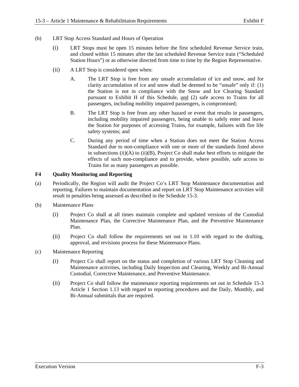- (b) LRT Stop Access Standard and Hours of Operation
	- (i) LRT Stops must be open 15 minutes before the first scheduled Revenue Service train, and closed within 15 minutes after the last scheduled Revenue Service train ("Scheduled Station Hours") or as otherwise directed from time to time by the Region Representative.
	- (ii) A LRT Stop is considered open when:
		- A. The LRT Stop is free from any unsafe accumulation of ice and snow, and for clarity accumulation of ice and snow shall be deemed to be "unsafe" only if: (1) the Station is not in compliance with the Snow and Ice Clearing Standard pursuant to Exhibit H of this Schedule, and (2) safe access to Trains for all passengers, including mobility impaired passengers, is compromised;
		- B. The LRT Stop is free from any other hazard or event that results in passengers, including mobility impaired passengers, being unable to safely enter and leave the Station for purposes of accessing Trains, for example, failures with fire life safety systems; and
		- C. During any period of time when a Station does not meet the Station Access Standard due to non-compliance with one or more of the standards listed above in subsections  $(ii)(A)$  to  $(ii)(B)$ , Project Co shall make best efforts to mitigate the effects of such non-compliance and to provide, where possible, safe access to Trains for as many passengers as possible.

### **F4 Quality Monitoring and Reporting**

- (a) Periodically, the Region will audit the Project Co's LRT Stop Maintenance documentation and reporting. Failures to maintain documentation and report on LRT Stop Maintenance activities will result in penalties being assessed as described in the Schedule 15-3.
- (b) Maintenance Plans
	- (i) Project Co shall at all times maintain complete and updated versions of the Custodial Maintenance Plan, the Corrective Maintenance Plan, and the Preventive Maintenance Plan.
	- (ii) Project Co shall follow the requirements set out in 1.10 with regard to the drafting, approval, and revisions process for these Maintenance Plans.
- (c) Maintenance Reporting
	- (i) Project Co shall report on the status and completion of various LRT Stop Cleaning and Maintenance activities, including Daily Inspection and Cleaning, Weekly and Bi-Annual Custodial, Corrective Maintenance, and Preventive Maintenance.
	- (ii) Project Co shall follow the maintenance reporting requirements set out in Schedule 15-3 Article 1 Section 1.13 with regard to reporting procedures and the Daily, Monthly, and Bi-Annual submittals that are required.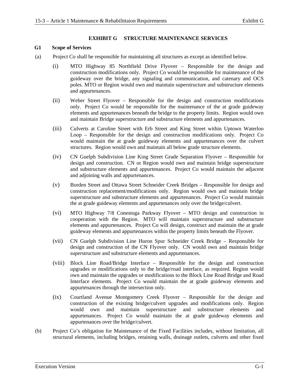#### **EXHIBIT G STRUCTURE MAINTENANCE SERVICES**

#### **G1 Scope of Services**

- (a) Project Co shall be responsible for maintaining all structures as except as identified below.
	- (i) MTO Highway 85 Northfield Drive Flyover Responsible for the design and construction modifications only. Project Co would be responsible for maintenance of the guideway over the bridge, any signaling and communication, and catenary and OCS poles. MTO or Region would own and maintain superstructure and substructure elements and appurtenances.
	- (ii) Weber Street Flyover Responsible for the design and construction modifications only. Project Co would be responsible for the maintenance of the at grade guideway elements and appurtenances beneath the bridge to the property limits. Region would own and maintain Bridge superstructure and substructure elements and appurtenances.
	- (iii) Culverts at Caroline Street with Erb Street and King Street within Uptown Waterloo Loop – Responsible for the design and construction modifications only. Project Co would maintain the at grade guideway elements and appurtenances over the culvert structures. Region would own and maintain all below grade structure elements.
	- (iv) CN Guelph Subdivision Line King Street Grade Separation Flyover Responsible for design and construction. CN or Region would own and maintain bridge superstructure and substructure elements and appurtenances. Project Co would maintain the adjacent and adjoining walls and appurtenances.
	- (v) Borden Street and Ottawa Street Schneider Creek Bridges Responsible for design and construction replacement/modifications only. Region would own and maintain bridge superstructure and substructure elements and appurtenances. Project Co would maintain the at grade guideway elements and appurtenances only over the bridge/culvert.
	- (vi) MTO Highway 7/8 Conestoga Parkway Flyover MTO design and construction in cooperation with the Region. MTO will maintain superstructure and substructure elements and appurtenances. Project Co will design, construct and maintain the at grade guideway elements and appurtenances within the property limits beneath the Flyover.
	- (vii) CN Guelph Subdivision Line Huron Spur Schneider Creek Bridge Responsible for design and construction of the CN Flyover only. CN would own and maintain bridge superstructure and substructure elements and appurtenances.
	- (viii) Block Line Road/Bridge Interface Responsible for the design and construction upgrades or modifications only to the bridge/road interface, as required. Region would own and maintain the upgrades or modifications to the Block Line Road Bridge and Road Interface elements. Project Co would maintain the at grade guideway elements and appurtenances through the intersection only.
	- (ix) Courtland Avenue Montgomery Creek Flyover Responsible for the design and construction of the existing bridge/culvert upgrades and modifications only. Region would own and maintain superstructure and substructure elements and appurtenances. Project Co would maintain the at grade guideway elements and appurtenances over the bridge/culvert.
- (b) Project Co's obligation for Maintenance of the Fixed Facilities includes, without limitation, all structural elements, including bridges, retaining walls, drainage outlets, culverts and other fixed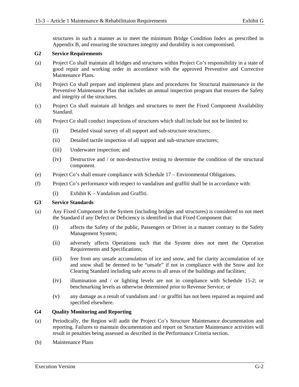structures in such a manner as to meet the minimum Bridge Condition Index as prescribed in Appendix B, and ensuring the structures integrity and durability is not compromised.

#### **G2 Service Requirements**

- (a) Project Co shall maintain all bridges and structures within Project Co's responsibility in a state of good repair and working order in accordance with the approved Preventive and Corrective Maintenance Plans.
- (b) Project Co shall prepare and implement plans and procedures for Structural maintenance in the Preventive Maintenance Plan that includes an annual inspection program that ensures the Safety and integrity of the structures.
- (c) Project Co shall maintain all bridges and structures to meet the Fixed Component Availability Standard.
- (d) Project Co shall conduct inspections of structures which shall include but not be limited to:
	- (i) Detailed visual survey of all support and sub-structure structures;
	- (ii) Detailed tactile inspection of all support and sub-structure structures;
	- (iii) Underwater inspection; and
	- (iv) Destructive and / or non-destructive testing to determine the condition of the structural component.
- (e) Project Co's shall ensure compliance with Schedule 17 Environmental Obligations.
- (f) Project Co's performance with respect to vandalism and graffiti shall be in accordance with:
	- (i) Exhibit K Vandalism and Graffiti.

#### **G3 Service Standards**

- (a) Any Fixed Component in the System (including bridges and structures) is considered to not meet the Standard if any Defect or Deficiency is identified in that Fixed Component that:
	- (i) affects the Safety of the public, Passengers or Driver in a manner contrary to the Safety Management System;
	- (ii) adversely affects Operations such that the System does not meet the Operation Requirements and Specifications;
	- (iii) free from any unsafe accumulation of ice and snow, and for clarity accumulation of ice and snow shall be deemed to be "unsafe" if not in compliance with the Snow and Ice Clearing Standard including safe access to all areas of the buildings and facilities;
	- (iv) illumination and / or lighting levels are not in compliance with Schedule 15-2; or benchmarking levels as otherwise determined prior to Revenue Service; or
	- (v) any damage as a result of vandalism and / or graffiti has not been repaired as required and specified elsewhere.

### **G4 Quality Monitoring and Reporting**

- (a) Periodically, the Region will audit the Project Co's Structure Maintenance documentation and reporting. Failures to maintain documentation and report on Structure Maintenance activities will result in penalties being assessed as described in the Performance Criteria section.
- (b) Maintenance Plans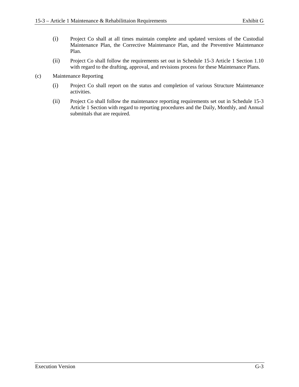- (i) Project Co shall at all times maintain complete and updated versions of the Custodial Maintenance Plan, the Corrective Maintenance Plan, and the Preventive Maintenance Plan.
- (ii) Project Co shall follow the requirements set out in Schedule 15-3 Article 1 Section 1.10 with regard to the drafting, approval, and revisions process for these Maintenance Plans.
- (c) Maintenance Reporting
	- (i) Project Co shall report on the status and completion of various Structure Maintenance activities.
	- (ii) Project Co shall follow the maintenance reporting requirements set out in Schedule 15-3 Article 1 Section with regard to reporting procedures and the Daily, Monthly, and Annual submittals that are required.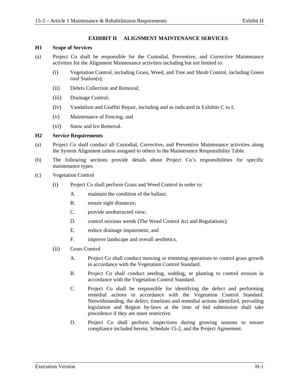#### **EXHIBIT H ALIGNMENT MAINTENANCE SERVICES**

#### **H1 Scope of Services**

- (a) Project Co shall be responsible for the Custodial, Preventive, and Corrective Maintenance activities for the Alignment Maintenance activities including but not limited to:
	- (i) Vegetation Control, including Grass, Weed, and Tree and Shrub Control, including Green roof Station(s);
	- (ii) Debris Collection and Removal;
	- (iii) Drainage Control;
	- (iv) Vandalism and Graffiti Repair, including and as indicated in Exhibits C to I;
	- (v) Maintenance of Fencing; and
	- (vi) Snow and Ice Removal.

#### **H2 Service Requirements**

- (a) Project Co shall conduct all Custodial, Corrective, and Preventive Maintenance activities along the System Alignment unless assigned to others in the Maintenance Responsibility Table.
- (b) The following sections provide details about Project Co's responsibilities for specific maintenance types.
- (c) Vegetation Control
	- (i) Project Co shall perform Grass and Weed Control in order to:
		- A. maintain the condition of the ballast;
		- B. ensure sight distances;
		- C. provide unobstructed view;
		- D. control noxious weeds (The Weed Control Act and Regulations);
		- E. reduce drainage impairment; and
		- F. improve landscape and overall aesthetics.
	- (ii) Grass Control
		- A. Project Co shall conduct mowing or trimming operations to control grass growth in accordance with the Vegetation Control Standard.
		- B. Project Co shall conduct seeding, sodding, or planting to control erosion in accordance with the Vegetation Control Standard.
		- C. Project Co shall be responsible for identifying the defect and performing remedial actions in accordance with the Vegetation Control Standard. Notwithstanding, the defect, timelines and remedial actions identified, prevailing legislation and Region by-laws at the time of bid submission shall take precedence if they are more restrictive.
		- D. Project Co shall perform inspections during growing seasons to ensure compliance included herein, Schedule 15-2, and the Project Agreement.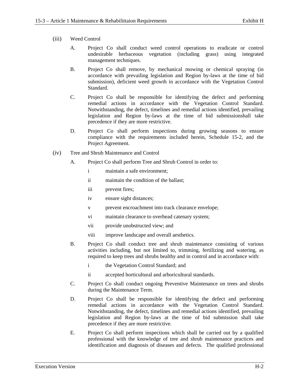- (iii) Weed Control
	- A. Project Co shall conduct weed control operations to eradicate or control undesirable herbaceous vegetation (including grass) using integrated management techniques.
	- B. Project Co shall remove, by mechanical mowing or chemical spraying (in accordance with prevailing legislation and Region by-laws at the time of bid submission), deficient weed growth in accordance with the Vegetation Control Standard.
	- C. Project Co shall be responsible for identifying the defect and performing remedial actions in accordance with the Vegetation Control Standard. Notwithstanding, the defect, timelines and remedial actions identified, prevailing legislation and Region by-laws at the time of bid submissionshall take precedence if they are more restrictive.
	- D. Project Co shall perform inspections during growing seasons to ensure compliance with the requirements included herein, Schedule 15-2, and the Project Agreement.
- (iv) Tree and Shrub Maintenance and Control
	- A. Project Co shall perform Tree and Shrub Control in order to:
		- i maintain a safe environment;
		- ii maintain the condition of the ballast;
		- iii prevent fires;
		- iv ensure sight distances;
		- v prevent encroachment into track clearance envelope;
		- vi maintain clearance to overhead catenary system;
		- vii provide unobstructed view; and
		- viii improve landscape and overall aesthetics.
	- B. Project Co shall conduct tree and shrub maintenance consisting of various activities including, but not limited to, trimming, fertilizing and watering, as required to keep trees and shrubs healthy and in control and in accordance with:
		- i the Vegetation Control Standard; and
		- ii accepted horticultural and arboricultural standards.
	- C. Project Co shall conduct ongoing Preventive Maintenance on trees and shrubs during the Maintenance Term.
	- D. Project Co shall be responsible for identifying the defect and performing remedial actions in accordance with the Vegetation Control Standard. Notwithstanding, the defect, timelines and remedial actions identified, prevailing legislation and Region by-laws at the time of bid submission shall take precedence if they are more restrictive.
	- E. Project Co shall perform inspections which shall be carried out by a qualified professional with the knowledge of tree and shrub maintenance practices and identification and diagnosis of diseases and defects. The qualified professional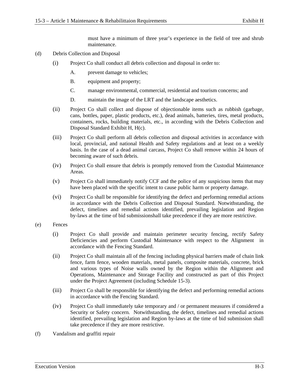must have a minimum of three year's experience in the field of tree and shrub maintenance.

- (d) Debris Collection and Disposal
	- (i) Project Co shall conduct all debris collection and disposal in order to:
		- A. prevent damage to vehicles;
		- B. equipment and property;
		- C. manage environmental, commercial, residential and tourism concerns; and
		- D. maintain the image of the LRT and the landscape aesthetics.
	- (ii) Project Co shall collect and dispose of objectionable items such as rubbish (garbage, cans, bottles, paper, plastic products, etc.), dead animals, batteries, tires, metal products, containers, rocks, building materials, etc., in according with the Debris Collection and Disposal Standard Exhibit H, H(c).
	- (iii) Project Co shall perform all debris collection and disposal activities in accordance with local, provincial, and national Health and Safety regulations and at least on a weekly basis. In the case of a dead animal carcass, Project Co shall remove within 24 hours of becoming aware of such debris.
	- (iv) Project Co shall ensure that debris is promptly removed from the Custodial Maintenance Areas.
	- (v) Project Co shall immediately notify CCF and the police of any suspicious items that may have been placed with the specific intent to cause public harm or property damage.
	- (vi) Project Co shall be responsible for identifying the defect and performing remedial actions in accordance with the Debris Collection and Disposal Standard. Notwithstanding, the defect, timelines and remedial actions identified, prevailing legislation and Region by-laws at the time of bid submissionshall take precedence if they are more restrictive.
- (e) Fences
	- (i) Project Co shall provide and maintain perimeter security fencing, rectify Safety Deficiencies and perform Custodial Maintenance with respect to the Alignment in accordance with the Fencing Standard.
	- (ii) Project Co shall maintain all of the fencing including physical barriers made of chain link fence, farm fence, wooden materials, metal panels, composite materials, concrete, brick and various types of Noise walls owned by the Region within the Alignment and Operations, Maintenance and Storage Facility and constructed as part of this Project under the Project Agreement (including Schedule 15-3).
	- (iii) Project Co shall be responsible for identifying the defect and performing remedial actions in accordance with the Fencing Standard.
	- (iv) Project Co shall immediately take temporary and / or permanent measures if considered a Security or Safety concern. Notwithstanding, the defect, timelines and remedial actions identified, prevailing legislation and Region by-laws at the time of bid submission shall take precedence if they are more restrictive.
- (f) Vandalism and graffiti repair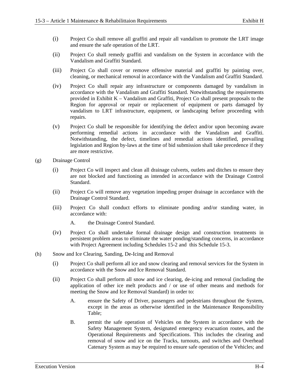- (i) Project Co shall remove all graffiti and repair all vandalism to promote the LRT image and ensure the safe operation of the LRT.
- (ii) Project Co shall remedy graffiti and vandalism on the System in accordance with the Vandalism and Graffiti Standard.
- (iii) Project Co shall cover or remove offensive material and graffiti by painting over, cleaning, or mechanical removal in accordance with the Vandalism and Graffiti Standard.
- (iv) Project Co shall repair any infrastructure or components damaged by vandalism in accordance with the Vandalism and Graffiti Standard. Notwithstanding the requirements provided in Exhibit K – Vandalism and Graffiti, Project Co shall present proposals to the Region for approval or repair or replacement of equipment or parts damaged by vandalism to LRT infrastructure, equipment, or landscaping before proceeding with repairs.
- (v) Project Co shall be responsible for identifying the defect and/or upon becoming aware performing remedial actions in accordance with the Vandalism and Graffiti. Notwithstanding, the defect, timelines and remedial actions identified, prevailing legislation and Region by-laws at the time of bid submission shall take precedence if they are more restrictive.
- (g) Drainage Control
	- (i) Project Co will inspect and clean all drainage culverts, outlets and ditches to ensure they are not blocked and functioning as intended in accordance with the Drainage Control Standard.
	- (ii) Project Co will remove any vegetation impeding proper drainage in accordance with the Drainage Control Standard.
	- (iii) Project Co shall conduct efforts to eliminate ponding and/or standing water, in accordance with:
		- A. the Drainage Control Standard.
	- (iv) Project Co shall undertake formal drainage design and construction treatments in persistent problem areas to eliminate the water ponding/standing concerns, in accordance with Project Agreement including Schedules 15-2 and this Schedule 15-3.
- (h) Snow and Ice Clearing, Sanding, De-Icing and Removal
	- (i) Project Co shall perform all ice and snow clearing and removal services for the System in accordance with the Snow and Ice Removal Standard.
	- (ii) Project Co shall perform all snow and ice clearing, de-icing and removal (including the application of other ice melt products and / or use of other means and methods for meeting the Snow and Ice Removal Standard) in order to:
		- A. ensure the Safety of Driver, passengers and pedestrians throughout the System, except in the areas as otherwise identified in the Maintenance Responsibility Table;
		- B. permit the safe operation of Vehicles on the System in accordance with the Safety Management System, designated emergency evacuation routes, and the Operational Requirements and Specifications. This includes the clearing and removal of snow and ice on the Tracks, turnouts, and switches and Overhead Catenary System as may be required to ensure safe operation of the Vehicles; and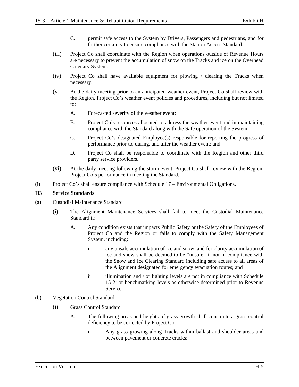- C. permit safe access to the System by Drivers, Passengers and pedestrians, and for further certainty to ensure compliance with the Station Access Standard.
- (iii) Project Co shall coordinate with the Region when operations outside of Revenue Hours are necessary to prevent the accumulation of snow on the Tracks and ice on the Overhead Catenary System.
- (iv) Project Co shall have available equipment for plowing / clearing the Tracks when necessary.
- (v) At the daily meeting prior to an anticipated weather event, Project Co shall review with the Region, Project Co's weather event policies and procedures, including but not limited to:
	- A. Forecasted severity of the weather event;
	- B. Project Co's resources allocated to address the weather event and in maintaining compliance with the Standard along with the Safe operation of the System;
	- C. Project Co's designated Employee(s) responsible for reporting the progress of performance prior to, during, and after the weather event; and
	- D. Project Co shall be responsible to coordinate with the Region and other third party service providers.
- (vi) At the daily meeting following the storm event, Project Co shall review with the Region, Project Co's performance in meeting the Standard.
- (i) Project Co's shall ensure compliance with Schedule 17 Environmental Obligations.

### **H3 Service Standards**

- (a) Custodial Maintenance Standard
	- (i) The Alignment Maintenance Services shall fail to meet the Custodial Maintenance Standard if:
		- A. Any condition exists that impacts Public Safety or the Safety of the Employees of Project Co and the Region or fails to comply with the Safety Management System, including:
			- i any unsafe accumulation of ice and snow, and for clarity accumulation of ice and snow shall be deemed to be "unsafe" if not in compliance with the Snow and Ice Clearing Standard including safe access to all areas of the Alignment designated for emergency evacuation routes; and
			- ii illumination and / or lighting levels are not in compliance with Schedule 15-2; or benchmarking levels as otherwise determined prior to Revenue Service.

#### (b) Vegetation Control Standard

- (i) Grass Control Standard
	- A. The following areas and heights of grass growth shall constitute a grass control deficiency to be corrected by Project Co:
		- i Any grass growing along Tracks within ballast and shoulder areas and between pavement or concrete cracks;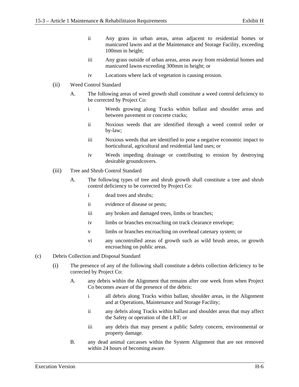- ii Any grass in urban areas, areas adjacent to residential homes or manicured lawns and at the Maintenance and Storage Facility, exceeding 100mm in height;
- iii Any grass outside of urban areas, areas away from residential homes and manicured lawns exceeding 300mm in height; or
- iv Locations where lack of vegetation is causing erosion.
- (ii) Weed Control Standard
	- A. The following areas of weed growth shall constitute a weed control deficiency to be corrected by Project Co:
		- i Weeds growing along Tracks within ballast and shoulder areas and between pavement or concrete cracks;
		- ii Noxious weeds that are identified through a weed control order or by-law;
		- iii Noxious weeds that are identified to pose a negative economic impact to horticultural, agricultural and residential land uses; or
		- iv Weeds impeding drainage or contributing to erosion by destroying desirable groundcovers.
- (iii) Tree and Shrub Control Standard
	- A. The following types of tree and shrub growth shall constitute a tree and shrub control deficiency to be corrected by Project Co:
		- i dead trees and shrubs;
		- ii evidence of disease or pests;
		- iii any broken and damaged trees, limbs or branches;
		- iv limbs or branches encroaching on track clearance envelope;
		- v limbs or branches encroaching on overhead catenary system; or
		- vi any uncontrolled areas of growth such as wild brush areas, or growth encroaching on public areas.
- (c) Debris Collection and Disposal Standard
	- (i) The presence of any of the following shall constitute a debris collection deficiency to be corrected by Project Co:
		- A. any debris within the Alignment that remains after one week from when Project Co becomes aware of the presence of the debris:
			- i all debris along Tracks within ballast, shoulder areas, in the Alignment and at Operations, Maintenance and Storage Facility;
			- ii any debris along Tracks within ballast and shoulder areas that may affect the Safety or operation of the LRT; or
			- iii any debris that may present a public Safety concern, environmental or property damage.
		- B. any dead animal carcasses within the System Alignment that are not removed within 24 hours of becoming aware.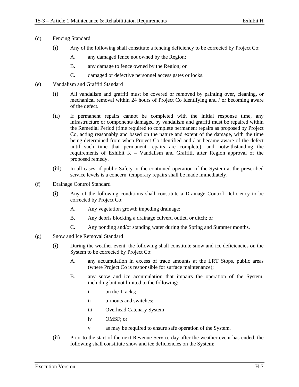- (d) Fencing Standard
	- (i) Any of the following shall constitute a fencing deficiency to be corrected by Project Co:
		- A. any damaged fence not owned by the Region;
		- B. any damage to fence owned by the Region; or
		- C. damaged or defective personnel access gates or locks.
- (e) Vandalism and Graffiti Standard
	- (i) All vandalism and graffiti must be covered or removed by painting over, cleaning, or mechanical removal within 24 hours of Project Co identifying and / or becoming aware of the defect.
	- (ii) If permanent repairs cannot be completed with the initial response time, any infrastructure or components damaged by vandalism and graffiti must be repaired within the Remedial Period (time required to complete permanent repairs as proposed by Project Co, acting reasonably and based on the nature and extent of the damage, with the time being determined from when Project Co identified and / or became aware of the defect until such time that permanent repairs are complete), and notwithstanding the requirements of Exhibit K – Vandalism and Graffiti, after Region approval of the proposed remedy.
	- (iii) In all cases, if public Safety or the continued operation of the System at the prescribed service levels is a concern, temporary repairs shall be made immediately.
- (f) Drainage Control Standard
	- (i) Any of the following conditions shall constitute a Drainage Control Deficiency to be corrected by Project Co:
		- A. Any vegetation growth impeding drainage;
		- B. Any debris blocking a drainage culvert, outlet, or ditch; or
		- C. Any ponding and/or standing water during the Spring and Summer months.
- (g) Snow and Ice Removal Standard
	- (i) During the weather event, the following shall constitute snow and ice deficiencies on the System to be corrected by Project Co:
		- A. any accumulation in excess of trace amounts at the LRT Stops, public areas (where Project Co is responsible for surface maintenance);
		- B. any snow and ice accumulation that impairs the operation of the System, including but not limited to the following:
			- i on the Tracks;
			- ii turnouts and switches;
			- iii Overhead Catenary System;
			- iv OMSF; or
			- v as may be required to ensure safe operation of the System.
	- (ii) Prior to the start of the next Revenue Service day after the weather event has ended, the following shall constitute snow and ice deficiencies on the System: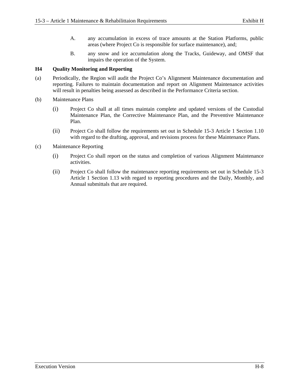- A. any accumulation in excess of trace amounts at the Station Platforms, public areas (where Project Co is responsible for surface maintenance), and;
- B. any snow and ice accumulation along the Tracks, Guideway, and OMSF that impairs the operation of the System.

### **H4 Quality Monitoring and Reporting**

- (a) Periodically, the Region will audit the Project Co's Alignment Maintenance documentation and reporting. Failures to maintain documentation and report on Alignment Maintenance activities will result in penalties being assessed as described in the Performance Criteria section.
- (b) Maintenance Plans
	- (i) Project Co shall at all times maintain complete and updated versions of the Custodial Maintenance Plan, the Corrective Maintenance Plan, and the Preventive Maintenance Plan.
	- (ii) Project Co shall follow the requirements set out in Schedule 15-3 Article 1 Section 1.10 with regard to the drafting, approval, and revisions process for these Maintenance Plans.
- (c) Maintenance Reporting
	- (i) Project Co shall report on the status and completion of various Alignment Maintenance activities.
	- (ii) Project Co shall follow the maintenance reporting requirements set out in Schedule 15-3 Article 1 Section 1.13 with regard to reporting procedures and the Daily, Monthly, and Annual submittals that are required.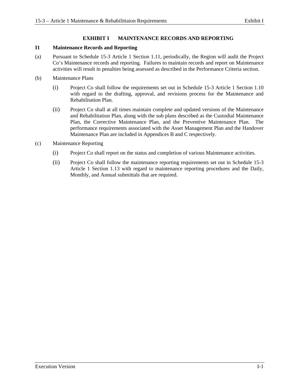### **EXHIBIT I MAINTENANCE RECORDS AND REPORTING**

#### **I1 Maintenance Records and Reporting**

- (a) Pursuant to Schedule 15-3 Article 1 Section 1.11, periodically, the Region will audit the Project Co's Maintenance records and reporting. Failures to maintain records and report on Maintenance activities will result in penalties being assessed as described in the Performance Criteria section.
- (b) Maintenance Plans
	- (i) Project Co shall follow the requirements set out in Schedule 15-3 Article 1 Section 1.10 with regard to the drafting, approval, and revisions process for the Maintenance and Rehabilitation Plan.
	- (ii) Project Co shall at all times maintain complete and updated versions of the Maintenance and Rehabilitation Plan, along with the sub plans described as the Custodial Maintenance Plan, the Corrective Maintenance Plan, and the Preventive Maintenance Plan. The performance requirements associated with the Asset Management Plan and the Handover Maintenance Plan are included in Appendices B and C respectively.
- (c) Maintenance Reporting
	- (i) Project Co shall report on the status and completion of various Maintenance activities.
	- (ii) Project Co shall follow the maintenance reporting requirements set out in Schedule 15-3 Article 1 Section 1.13 with regard to maintenance reporting procedures and the Daily, Monthly, and Annual submittals that are required.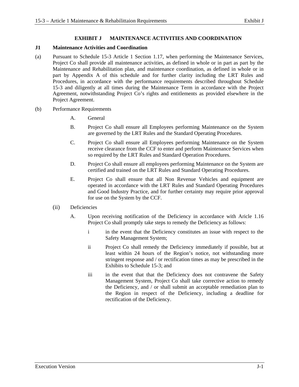### **EXHIBIT J MAINTENANCE ACTIVITIES AND COORDINATION**

### **J1 Maintenance Activities and Coordination**

- (a) Pursuant to Schedule 15-3 Article 1 Section 1.17, when performing the Maintenance Services, Project Co shall provide all maintenance activities, as defined in whole or in part as part by the Maintenance and Rehabilitation plan, and maintenance coordination, as defined in whole or in part by Appendix A of this schedule and for further clarity including the LRT Rules and Procedures, in accordance with the performance requirements described throughout Schedule 15-3 and diligently at all times during the Maintenance Term in accordance with the Project Agreement, notwithstanding Project Co's rights and entitlements as provided elsewhere in the Project Agreement.
- (b) Performance Requirements
	- A. General
	- B. Project Co shall ensure all Employees performing Maintenance on the System are governed by the LRT Rules and the Standard Operating Procedures.
	- C. Project Co shall ensure all Employees performing Maintenance on the System receive clearance from the CCF to enter and perform Maintenance Services when so required by the LRT Rules and Standard Operation Procedures.
	- D. Project Co shall ensure all employees performing Maintenance on the System are certified and trained on the LRT Rules and Standard Operating Procedures.
	- E. Project Co shall ensure that all Non Revenue Vehicles and equipment are operated in accordance with the LRT Rules and Standard Operating Procedures and Good Industry Practice, and for further certainty may require prior approval for use on the System by the CCF.
	- (ii) Deficiencies
		- A. Upon receiving notification of the Deficiency in accordance with Aricle 1.16 Project Co shall promptly take steps to remedy the Deficiency as follows:
			- i in the event that the Deficiency constitutes an issue with respect to the Safety Management System;
			- ii Project Co shall remedy the Deficiency immediately if possible, but at least within 24 hours of the Region's notice, not withstanding more stringent response and / or rectification times as may be prescribed in the Exhibits to Schedule 15-3; and
			- iii in the event that that the Deficiency does not contravene the Safety Management System, Project Co shall take corrective action to remedy the Deficiency, and / or shall submit an acceptable remediation plan to the Region in respect of the Deficiency, including a deadline for rectification of the Deficiency.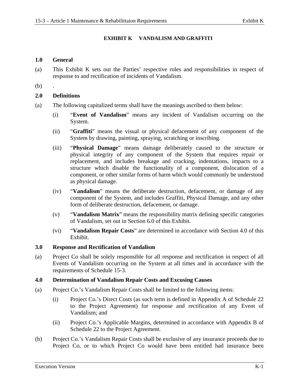### **EXHIBIT K VANDALISM AND GRAFFITI**

### **1.0 General**

- (a) This Exhibit K sets out the Parties' respective roles and responsibilities in respect of response to and rectification of incidents of Vandalism.
- $(b)$

### **2.0 Definitions**

- (a) The following capitalized terms shall have the meanings ascribed to them below:
	- (i) "**Event of Vandalism**" means any incident of Vandalism occurring on the System.
	- (ii) "**Graffiti**" means the visual or physical defacement of any component of the System by drawing, painting, spraying, scratching or inscribing.
	- (iii) "**Physical Damage**" means damage deliberately caused to the structure or physical integrity of any component of the System that requires repair or replacement, and includes breakage and cracking, indentations, impacts to a structure which disable the functionality of a component, dislocation of a component, or other similar forms of harm which would commonly be understood as physical damage.
	- (iv) "**Vandalism**" means the deliberate destruction, defacement, or damage of any component of the System, and includes Graffiti, Physical Damage, and any other form of deliberate destruction, defacement, or damage.
	- (v) "**Vandalism Matrix**" means the responsibility matrix defining specific categories of Vandalism, set out in Section 6.0 of this Exhibit.
	- (vi) "**Vandalism Repair Costs**" are determined in accordance with Section 4.0 of this Exhibit.

### **3.0 Response and Rectification of Vandalism**

(a) Project Co shall be solely responsible for all response and rectification in respect of all Events of Vandalism occurring on the System at all times and in accordance with the requirements of Schedule 15-3.

### **4.0 Determination of Vandalism Repair Costs and Excusing Causes**

- (a) Project Co.'s Vandalism Repair Costs shall be limited to the following items:
	- (i) Project Co.'s Direct Costs (as such term is defined in Appendix A of Schedule 22 to the Project Agreement) for response and rectification of any Event of Vandalism; and
	- (ii) Project Co.'s Applicable Margins, determined in accordance with Appendix B of Schedule 22 to the Project Agreement.
- (b) Project Co.'s Vandalism Repair Costs shall be exclusive of any insurance proceeds due to Project Co, or to which Project Co would have been entitled had insurance been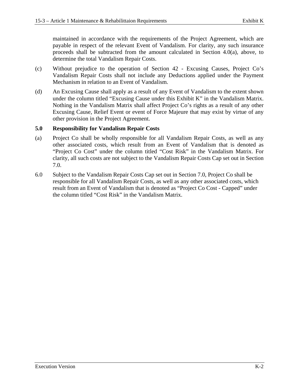maintained in accordance with the requirements of the Project Agreement, which are payable in respect of the relevant Event of Vandalism. For clarity, any such insurance proceeds shall be subtracted from the amount calculated in Section 4.0(a), above, to determine the total Vandalism Repair Costs.

- (c) Without prejudice to the operation of Section 42 Excusing Causes, Project Co's Vandalism Repair Costs shall not include any Deductions applied under the Payment Mechanism in relation to an Event of Vandalism.
- (d) An Excusing Cause shall apply as a result of any Event of Vandalism to the extent shown under the column titled "Excusing Cause under this Exhibit K" in the Vandalism Matrix. Nothing in the Vandalism Matrix shall affect Project Co's rights as a result of any other Excusing Cause, Relief Event or event of Force Majeure that may exist by virtue of any other provision in the Project Agreement.

### **5.0 Responsibility for Vandalism Repair Costs**

- (a) Project Co shall be wholly responsible for all Vandalism Repair Costs, as well as any other associated costs, which result from an Event of Vandalism that is denoted as "Project Co Cost" under the column titled "Cost Risk" in the Vandalism Matrix. For clarity, all such costs are not subject to the Vandalism Repair Costs Cap set out in Section 7.0.
- 6.0 Subject to the Vandalism Repair Costs Cap set out in Section 7.0, Project Co shall be responsible for all Vandalism Repair Costs, as well as any other associated costs, which result from an Event of Vandalism that is denoted as "Project Co Cost - Capped" under the column titled "Cost Risk" in the Vandalism Matrix.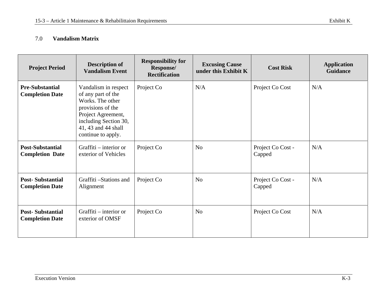#### 7.0**Vandalism Matrix**

| <b>Project Period</b>                             | <b>Description of</b><br><b>Vandalism Event</b>                                                                                                                                 | <b>Responsibility for</b><br>Response/<br><b>Rectification</b> | <b>Excusing Cause</b><br>under this Exhibit K | <b>Cost Risk</b>            | <b>Application</b><br><b>Guidance</b> |
|---------------------------------------------------|---------------------------------------------------------------------------------------------------------------------------------------------------------------------------------|----------------------------------------------------------------|-----------------------------------------------|-----------------------------|---------------------------------------|
| <b>Pre-Substantial</b><br><b>Completion Date</b>  | Vandalism in respect<br>of any part of the<br>Works. The other<br>provisions of the<br>Project Agreement,<br>including Section 30,<br>41, 43 and 44 shall<br>continue to apply. | Project Co                                                     | N/A                                           | Project Co Cost             | N/A                                   |
| <b>Post-Substantial</b><br><b>Completion Date</b> | Graffiti – interior or<br>exterior of Vehicles                                                                                                                                  | Project Co                                                     | N <sub>o</sub>                                | Project Co Cost -<br>Capped | N/A                                   |
| <b>Post-Substantial</b><br><b>Completion Date</b> | Graffiti -Stations and<br>Alignment                                                                                                                                             | Project Co                                                     | N <sub>o</sub>                                | Project Co Cost -<br>Capped | N/A                                   |
| <b>Post-Substantial</b><br><b>Completion Date</b> | Graffiti – interior or<br>exterior of OMSF                                                                                                                                      | Project Co                                                     | N <sub>o</sub>                                | Project Co Cost             | N/A                                   |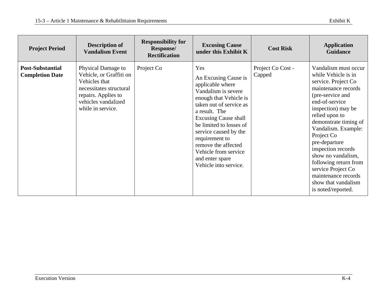| <b>Project Period</b>                             | <b>Description of</b><br><b>Vandalism Event</b>                                                                                                              | <b>Responsibility for</b><br><b>Response/</b><br><b>Rectification</b> | <b>Excusing Cause</b><br>under this Exhibit K                                                                                                                                                                                                                                                                                                | <b>Cost Risk</b>            | <b>Application</b><br><b>Guidance</b>                                                                                                                                                                                                                                                                                                                                                                                 |
|---------------------------------------------------|--------------------------------------------------------------------------------------------------------------------------------------------------------------|-----------------------------------------------------------------------|----------------------------------------------------------------------------------------------------------------------------------------------------------------------------------------------------------------------------------------------------------------------------------------------------------------------------------------------|-----------------------------|-----------------------------------------------------------------------------------------------------------------------------------------------------------------------------------------------------------------------------------------------------------------------------------------------------------------------------------------------------------------------------------------------------------------------|
| <b>Post-Substantial</b><br><b>Completion Date</b> | Physical Damage to<br>Vehicle, or Graffiti on<br>Vehicles that<br>necessitates structural<br>repairs. Applies to<br>vehicles vandalized<br>while in service. | Project Co                                                            | Yes<br>An Excusing Cause is<br>applicable where<br>Vandalism is severe<br>enough that Vehicle is<br>taken out of service as<br>a result. The<br><b>Excusing Cause shall</b><br>be limited to losses of<br>service caused by the<br>requirement to<br>remove the affected<br>Vehicle from service<br>and enter spare<br>Vehicle into service. | Project Co Cost -<br>Capped | Vandalism must occur<br>while Vehicle is in<br>service. Project Co<br>maintenance records<br>(pre-service and<br>end-of-service<br>inspection) may be<br>relied upon to<br>demonstrate timing of<br>Vandalism. Example:<br>Project Co<br>pre-departure<br>inspection records<br>show no vandalism,<br>following return from<br>service Project Co<br>maintenance records<br>show that vandalism<br>is noted/reported. |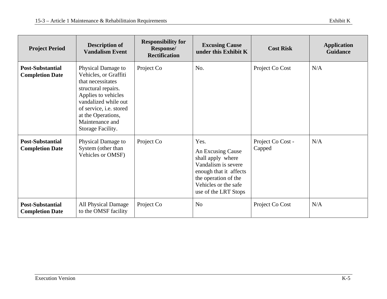| <b>Project Period</b>                             | <b>Description of</b><br><b>Vandalism Event</b>                                                                                                                                                                                 | <b>Responsibility for</b><br>Response/<br><b>Rectification</b> | <b>Excusing Cause</b><br>under this Exhibit K                                                                                                                           | <b>Cost Risk</b>            | <b>Application</b><br><b>Guidance</b> |
|---------------------------------------------------|---------------------------------------------------------------------------------------------------------------------------------------------------------------------------------------------------------------------------------|----------------------------------------------------------------|-------------------------------------------------------------------------------------------------------------------------------------------------------------------------|-----------------------------|---------------------------------------|
| <b>Post-Substantial</b><br><b>Completion Date</b> | Physical Damage to<br>Vehicles, or Graffiti<br>that necessitates<br>structural repairs.<br>Applies to vehicles<br>vandalized while out<br>of service, i.e. stored<br>at the Operations,<br>Maintenance and<br>Storage Facility. | Project Co                                                     | No.                                                                                                                                                                     | Project Co Cost             | N/A                                   |
| <b>Post-Substantial</b><br><b>Completion Date</b> | Physical Damage to<br>System (other than<br>Vehicles or OMSF)                                                                                                                                                                   | Project Co                                                     | Yes.<br>An Excusing Cause<br>shall apply where<br>Vandalism is severe<br>enough that it affects<br>the operation of the<br>Vehicles or the safe<br>use of the LRT Stops | Project Co Cost -<br>Capped | N/A                                   |
| <b>Post-Substantial</b><br><b>Completion Date</b> | All Physical Damage<br>to the OMSF facility                                                                                                                                                                                     | Project Co                                                     | No                                                                                                                                                                      | Project Co Cost             | N/A                                   |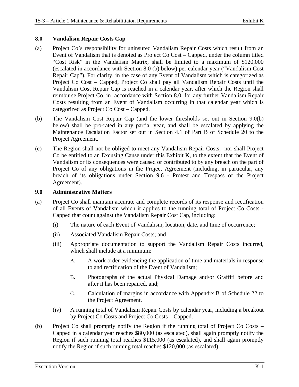### **8.0 Vandalism Repair Costs Cap**

- (a) Project Co's responsibility for uninsured Vandalism Repair Costs which result from an Event of Vandalism that is denoted as Project Co Cost – Capped, under the column titled "Cost Risk" in the Vandalism Matrix, shall be limited to a maximum of \$120,000 (escalated in accordance with Section 8.0 (b) below) per calendar year ("Vandalism Cost Repair Cap"). For clarity, in the case of any Event of Vandalism which is categorized as Project Co Cost – Capped, Project Co shall pay all Vandalism Repair Costs until the Vandalism Cost Repair Cap is reached in a calendar year, after which the Region shall reimburse Project Co, in accordance with Section 8.0, for any further Vandalism Repair Costs resulting from an Event of Vandalism occurring in that calendar year which is categorized as Project Co Cost – Capped.
- (b) The Vandalism Cost Repair Cap (and the lower thresholds set out in Section 9.0(b) below) shall be pro-rated in any partial year, and shall be escalated by applying the Maintenance Escalation Factor set out in Section 4.1 of Part B of Schedule 20 to the Project Agreement.
- (c) The Region shall not be obliged to meet any Vandalism Repair Costs, nor shall Project Co be entitled to an Excusing Cause under this Exhibit K, to the extent that the Event of Vandalism or its consequences were caused or contributed to by any breach on the part of Project Co of any obligations in the Project Agreement (including, in particular, any breach of its obligations under Section 9.6 - Protest and Trespass of the Project Agreement).

### **9.0 Administrative Matters**

- (a) Project Co shall maintain accurate and complete records of its response and rectification of all Events of Vandalism which it applies to the running total of Project Co Costs - Capped that count against the Vandalism Repair Cost Cap, including:
	- (i) The nature of each Event of Vandalism, location, date, and time of occurrence;
	- (ii) Associated Vandalism Repair Costs; and
	- (iii) Appropriate documentation to support the Vandalism Repair Costs incurred, which shall include at a minimum:
		- A. A work order evidencing the application of time and materials in response to and rectification of the Event of Vandalism;
		- B. Photographs of the actual Physical Damage and/or Graffiti before and after it has been repaired, and;
		- C. Calculation of margins in accordance with Appendix B of Schedule 22 to the Project Agreement.
	- (iv) A running total of Vandalism Repair Costs by calendar year, including a breakout by Project Co Costs and Project Co Costs – Capped.
- (b) Project Co shall promptly notify the Region if the running total of Project Co Costs Capped in a calendar year reaches \$80,000 (as escalated), shall again promptly notify the Region if such running total reaches \$115,000 (as escalated), and shall again promptly notify the Region if such running total reaches \$120,000 (as escalated).